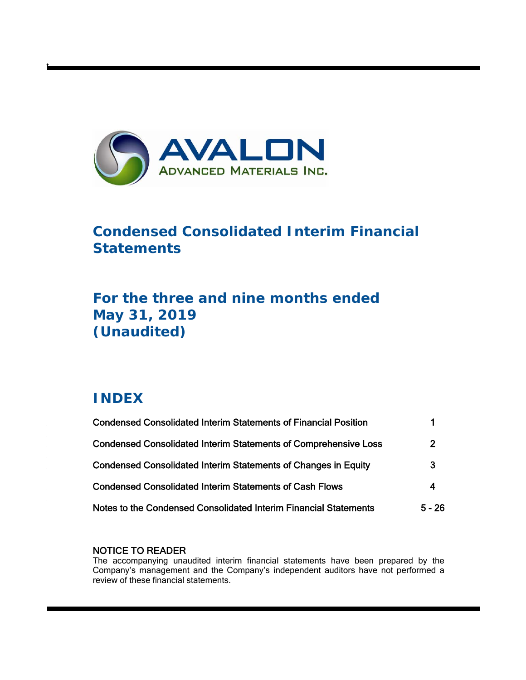

# **Condensed Consolidated Interim Financial Statements**

# **For the three and nine months ended May 31, 2019 (Unaudited)**

# **INDEX**

t

| <b>Condensed Consolidated Interim Statements of Financial Position</b> |                |
|------------------------------------------------------------------------|----------------|
| <b>Condensed Consolidated Interim Statements of Comprehensive Loss</b> | $\overline{2}$ |
| <b>Condensed Consolidated Interim Statements of Changes in Equity</b>  | 3              |
| <b>Condensed Consolidated Interim Statements of Cash Flows</b>         | 4              |
| Notes to the Condensed Consolidated Interim Financial Statements       | $5 - 26$       |

# NOTICE TO READER

The accompanying unaudited interim financial statements have been prepared by the Company's management and the Company's independent auditors have not performed a review of these financial statements.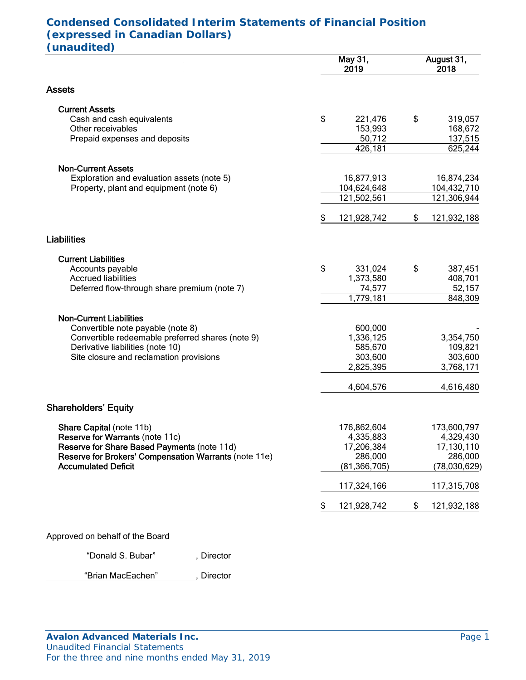# **Condensed Consolidated Interim Statements of Financial Position (expressed in Canadian Dollars) (unaudited)**

|                                                       | May 31,<br>2019   | August 31,<br>2018 |              |  |  |
|-------------------------------------------------------|-------------------|--------------------|--------------|--|--|
| Assets                                                |                   |                    |              |  |  |
| <b>Current Assets</b>                                 |                   |                    |              |  |  |
| Cash and cash equivalents                             | \$<br>221,476     | \$                 | 319,057      |  |  |
| Other receivables                                     | 153,993           |                    | 168,672      |  |  |
| Prepaid expenses and deposits                         | 50,712            |                    | 137,515      |  |  |
|                                                       | 426,181           |                    | 625,244      |  |  |
| <b>Non-Current Assets</b>                             |                   |                    |              |  |  |
| Exploration and evaluation assets (note 5)            | 16,877,913        |                    | 16,874,234   |  |  |
| Property, plant and equipment (note 6)                | 104,624,648       |                    | 104,432,710  |  |  |
|                                                       | 121,502,561       |                    | 121,306,944  |  |  |
|                                                       | \$<br>121,928,742 | \$                 | 121,932,188  |  |  |
| <b>Liabilities</b>                                    |                   |                    |              |  |  |
| <b>Current Liabilities</b>                            |                   |                    |              |  |  |
| Accounts payable                                      | \$<br>331,024     | \$                 | 387,451      |  |  |
| <b>Accrued liabilities</b>                            | 1,373,580         |                    | 408,701      |  |  |
| Deferred flow-through share premium (note 7)          | 74,577            |                    | 52,157       |  |  |
|                                                       | 1,779,181         |                    | 848,309      |  |  |
| <b>Non-Current Liabilities</b>                        |                   |                    |              |  |  |
| Convertible note payable (note 8)                     | 600,000           |                    |              |  |  |
| Convertible redeemable preferred shares (note 9)      | 1,336,125         |                    | 3,354,750    |  |  |
| Derivative liabilities (note 10)                      | 585,670           |                    | 109,821      |  |  |
| Site closure and reclamation provisions               | 303,600           |                    | 303,600      |  |  |
|                                                       | 2,825,395         |                    | 3,768,171    |  |  |
|                                                       | 4,604,576         |                    | 4,616,480    |  |  |
| <b>Shareholders' Equity</b>                           |                   |                    |              |  |  |
|                                                       |                   |                    |              |  |  |
| Share Capital (note 11b)                              | 176,862,604       |                    | 173,600,797  |  |  |
| Reserve for Warrants (note 11c)                       | 4,335,883         |                    | 4,329,430    |  |  |
| Reserve for Share Based Payments (note 11d)           | 17,206,384        |                    | 17,130,110   |  |  |
| Reserve for Brokers' Compensation Warrants (note 11e) | 286,000           |                    | 286,000      |  |  |
| <b>Accumulated Deficit</b>                            | (81, 366, 705)    |                    | (78,030,629) |  |  |
|                                                       | 117,324,166       |                    | 117,315,708  |  |  |
|                                                       | \$<br>121,928,742 | \$                 | 121,932,188  |  |  |

Approved on behalf of the Board

"Donald S. Bubar", Director

"Brian MacEachen" , Director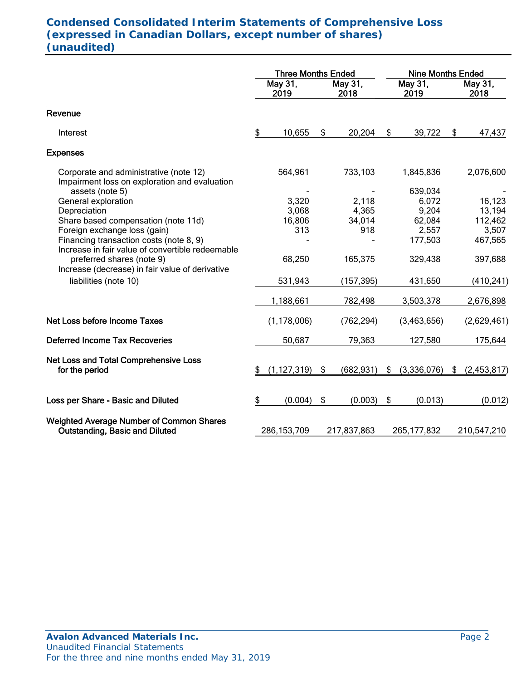# **Condensed Consolidated Interim Statements of Comprehensive Loss (expressed in Canadian Dollars, except number of shares) (unaudited)**

|                                                                                                                                  | <b>Three Months Ended</b> |                 |    |                 | <b>Nine Months Ended</b> |                  |    |                 |
|----------------------------------------------------------------------------------------------------------------------------------|---------------------------|-----------------|----|-----------------|--------------------------|------------------|----|-----------------|
|                                                                                                                                  |                           | May 31,<br>2019 |    | May 31,<br>2018 | May 31,<br>2019          |                  |    | May 31,<br>2018 |
| Revenue                                                                                                                          |                           |                 |    |                 |                          |                  |    |                 |
| Interest                                                                                                                         | \$                        | 10,655          | \$ | 20,204          | \$                       | 39,722           | \$ | 47,437          |
| <b>Expenses</b>                                                                                                                  |                           |                 |    |                 |                          |                  |    |                 |
| Corporate and administrative (note 12)<br>Impairment loss on exploration and evaluation                                          |                           | 564,961         |    | 733,103         |                          | 1,845,836        |    | 2,076,600       |
| assets (note 5)                                                                                                                  |                           | 3,320           |    |                 |                          | 639,034<br>6,072 |    | 16,123          |
| General exploration<br>Depreciation                                                                                              |                           | 3,068           |    | 2,118<br>4,365  |                          | 9,204            |    | 13,194          |
| Share based compensation (note 11d)                                                                                              |                           | 16,806          |    | 34,014          |                          | 62,084           |    | 112,462         |
| Foreign exchange loss (gain)                                                                                                     |                           | 313             |    | 918             |                          | 2,557            |    | 3,507           |
| Financing transaction costs (note 8, 9)                                                                                          |                           |                 |    |                 |                          | 177,503          |    | 467,565         |
| Increase in fair value of convertible redeemable<br>preferred shares (note 9)<br>Increase (decrease) in fair value of derivative |                           | 68,250          |    | 165,375         |                          | 329,438          |    | 397,688         |
| liabilities (note 10)                                                                                                            |                           | 531,943         |    | (157, 395)      |                          | 431,650          |    | (410, 241)      |
|                                                                                                                                  |                           | 1,188,661       |    | 782,498         |                          | 3,503,378        |    | 2,676,898       |
| <b>Net Loss before Income Taxes</b>                                                                                              |                           | (1, 178, 006)   |    | (762, 294)      |                          | (3,463,656)      |    | (2,629,461)     |
| <b>Deferred Income Tax Recoveries</b>                                                                                            |                           | 50,687          |    | 79,363          |                          | 127,580          |    | 175,644         |
| Net Loss and Total Comprehensive Loss<br>for the period                                                                          | \$                        | (1, 127, 319)   | \$ | (682, 931)      | \$                       | (3,336,076)      | \$ | (2,453,817)     |
| Loss per Share - Basic and Diluted                                                                                               | \$                        | (0.004)         | \$ | (0.003)         | \$                       | (0.013)          |    | (0.012)         |
| <b>Weighted Average Number of Common Shares</b><br><b>Outstanding, Basic and Diluted</b>                                         |                           | 286, 153, 709   |    | 217,837,863     |                          | 265, 177, 832    |    | 210,547,210     |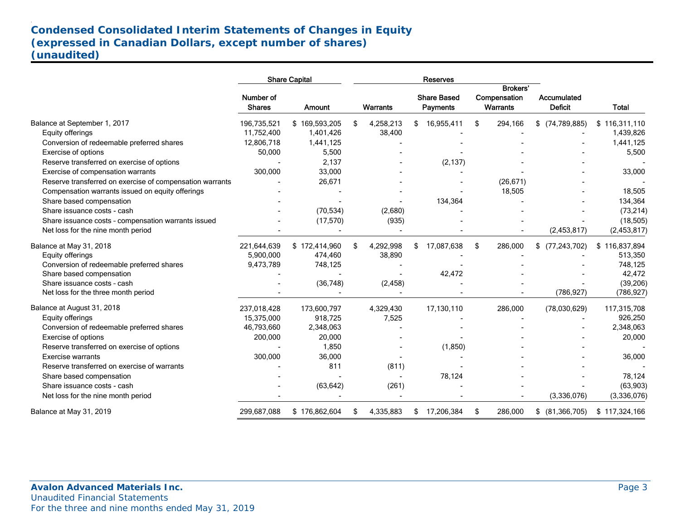# **Condensed Consolidated Interim Statements of Changes in Equity (expressed in Canadian Dollars, except number of shares) (unaudited)**

|                                                          |                            | <b>Share Capital</b> |    |                 |    | <b>Reserves</b> |               |                      |               |                                       |                                             |                               |              |
|----------------------------------------------------------|----------------------------|----------------------|----|-----------------|----|-----------------|---------------|----------------------|---------------|---------------------------------------|---------------------------------------------|-------------------------------|--------------|
|                                                          | Number of<br><b>Shares</b> | Amount               |    | <b>Warrants</b> |    |                 |               |                      |               | <b>Share Based</b><br><b>Payments</b> | <b>Brokers'</b><br>Compensation<br>Warrants | Accumulated<br><b>Deficit</b> | <b>Total</b> |
| Balance at September 1, 2017                             | 196,735,521                | \$169,593,205        | \$ | 4,258,213       | \$ | 16,955,411      | \$<br>294,166 | $$$ (74,789,885)     | \$116,311,110 |                                       |                                             |                               |              |
| Equity offerings                                         | 11,752,400                 | 1,401,426            |    | 38,400          |    |                 |               |                      | 1,439,826     |                                       |                                             |                               |              |
| Conversion of redeemable preferred shares                | 12,806,718                 | 1,441,125            |    |                 |    |                 |               |                      | 1,441,125     |                                       |                                             |                               |              |
| Exercise of options                                      | 50,000                     | 5,500                |    |                 |    |                 |               |                      | 5,500         |                                       |                                             |                               |              |
| Reserve transferred on exercise of options               |                            | 2,137                |    |                 |    | (2, 137)        |               |                      |               |                                       |                                             |                               |              |
| Exercise of compensation warrants                        | 300,000                    | 33,000               |    |                 |    |                 |               |                      | 33,000        |                                       |                                             |                               |              |
| Reserve transferred on exercise of compensation warrants |                            | 26,671               |    |                 |    |                 | (26, 671)     |                      |               |                                       |                                             |                               |              |
| Compensation warrants issued on equity offerings         |                            |                      |    |                 |    |                 | 18,505        |                      | 18,505        |                                       |                                             |                               |              |
| Share based compensation                                 |                            |                      |    |                 |    | 134,364         |               |                      | 134,364       |                                       |                                             |                               |              |
| Share issuance costs - cash                              |                            | (70, 534)            |    | (2,680)         |    |                 |               |                      | (73, 214)     |                                       |                                             |                               |              |
| Share issuance costs - compensation warrants issued      |                            | (17, 570)            |    | (935)           |    |                 |               |                      | (18, 505)     |                                       |                                             |                               |              |
| Net loss for the nine month period                       |                            |                      |    |                 |    |                 |               | (2,453,817)          | (2,453,817)   |                                       |                                             |                               |              |
| Balance at May 31, 2018                                  | 221,644,639                | \$172,414,960        | \$ | 4,292,998       | \$ | 17,087,638      | \$<br>286,000 | (77, 243, 702)<br>\$ | \$116,837,894 |                                       |                                             |                               |              |
| Equity offerings                                         | 5,900,000                  | 474,460              |    | 38,890          |    |                 |               |                      | 513,350       |                                       |                                             |                               |              |
| Conversion of redeemable preferred shares                | 9,473,789                  | 748,125              |    |                 |    |                 |               |                      | 748,125       |                                       |                                             |                               |              |
| Share based compensation                                 |                            |                      |    |                 |    | 42,472          |               |                      | 42,472        |                                       |                                             |                               |              |
| Share issuance costs - cash                              |                            | (36, 748)            |    | (2, 458)        |    |                 |               |                      | (39, 206)     |                                       |                                             |                               |              |
| Net loss for the three month period                      |                            |                      |    |                 |    |                 |               | (786, 927)           | (786, 927)    |                                       |                                             |                               |              |
| Balance at August 31, 2018                               | 237,018,428                | 173,600,797          |    | 4,329,430       |    | 17,130,110      | 286,000       | (78,030,629)         | 117,315,708   |                                       |                                             |                               |              |
| Equity offerings                                         | 15.375.000                 | 918.725              |    | 7,525           |    |                 |               |                      | 926,250       |                                       |                                             |                               |              |
| Conversion of redeemable preferred shares                | 46,793,660                 | 2,348,063            |    |                 |    |                 |               |                      | 2,348,063     |                                       |                                             |                               |              |
| Exercise of options                                      | 200,000                    | 20,000               |    |                 |    |                 |               |                      | 20,000        |                                       |                                             |                               |              |
| Reserve transferred on exercise of options               |                            | 1,850                |    |                 |    | (1,850)         |               |                      |               |                                       |                                             |                               |              |
| <b>Exercise warrants</b>                                 | 300,000                    | 36,000               |    |                 |    |                 |               |                      | 36,000        |                                       |                                             |                               |              |
| Reserve transferred on exercise of warrants              |                            | 811                  |    | (811)           |    |                 |               |                      |               |                                       |                                             |                               |              |
| Share based compensation                                 |                            |                      |    |                 |    | 78,124          |               |                      | 78,124        |                                       |                                             |                               |              |
| Share issuance costs - cash                              |                            | (63, 642)            |    | (261)           |    |                 |               |                      | (63,903)      |                                       |                                             |                               |              |
| Net loss for the nine month period                       |                            |                      |    |                 |    |                 |               | (3,336,076)          | (3,336,076)   |                                       |                                             |                               |              |
| Balance at May 31, 2019                                  | 299,687,088                | \$176,862,604        | \$ | 4,335,883       | \$ | 17,206,384      | \$<br>286,000 | (81, 366, 705)<br>\$ | \$117,324,166 |                                       |                                             |                               |              |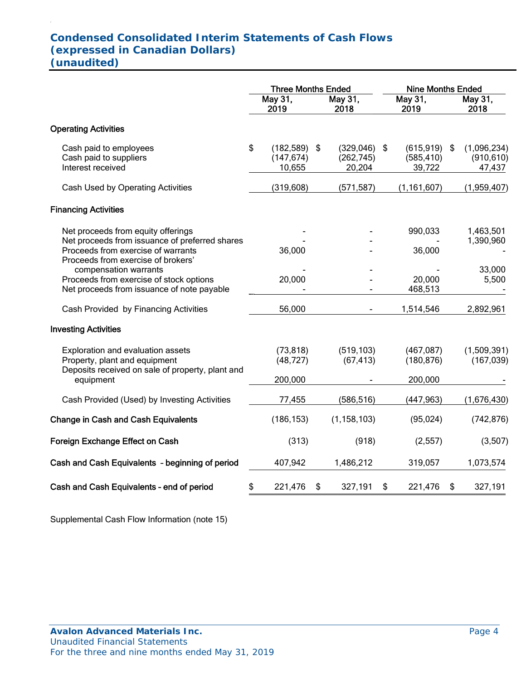# **Condensed Consolidated Interim Statements of Cash Flows (expressed in Canadian Dollars) (unaudited)**

.

|                                                                                                                                                                  | <b>Three Months Ended</b> |                                        |    |                                        | <b>Nine Months Ended</b> |                                        |    |                                     |  |
|------------------------------------------------------------------------------------------------------------------------------------------------------------------|---------------------------|----------------------------------------|----|----------------------------------------|--------------------------|----------------------------------------|----|-------------------------------------|--|
|                                                                                                                                                                  | May 31,<br>2019           |                                        |    |                                        |                          | May 31,<br>2019                        |    | May 31,<br>2018                     |  |
| <b>Operating Activities</b>                                                                                                                                      |                           |                                        |    |                                        |                          |                                        |    |                                     |  |
| Cash paid to employees<br>Cash paid to suppliers<br>Interest received                                                                                            | \$                        | $(182,589)$ \$<br>(147, 674)<br>10,655 |    | $(329,046)$ \$<br>(262, 745)<br>20,204 |                          | $(615,919)$ \$<br>(585, 410)<br>39,722 |    | (1,096,234)<br>(910, 610)<br>47,437 |  |
| Cash Used by Operating Activities                                                                                                                                |                           | (319, 608)                             |    | (571, 587)                             |                          | (1, 161, 607)                          |    | (1,959,407)                         |  |
| <b>Financing Activities</b>                                                                                                                                      |                           |                                        |    |                                        |                          |                                        |    |                                     |  |
| Net proceeds from equity offerings<br>Net proceeds from issuance of preferred shares<br>Proceeds from exercise of warrants<br>Proceeds from exercise of brokers' |                           | 36,000                                 |    |                                        |                          | 990,033<br>36,000                      |    | 1,463,501<br>1,390,960              |  |
| compensation warrants<br>Proceeds from exercise of stock options<br>Net proceeds from issuance of note payable                                                   |                           | 20,000                                 |    |                                        |                          | 20,000<br>468,513                      |    | 33,000<br>5,500                     |  |
| Cash Provided by Financing Activities                                                                                                                            |                           | 56,000                                 |    |                                        |                          | 1,514,546                              |    | 2,892,961                           |  |
| <b>Investing Activities</b>                                                                                                                                      |                           |                                        |    |                                        |                          |                                        |    |                                     |  |
| Exploration and evaluation assets<br>Property, plant and equipment<br>Deposits received on sale of property, plant and                                           |                           | (73, 818)<br>(48, 727)                 |    | (519, 103)<br>(67, 413)                |                          | (467, 087)<br>(180, 876)               |    | (1,509,391)<br>(167, 039)           |  |
| equipment                                                                                                                                                        |                           | 200,000                                |    |                                        |                          | 200,000                                |    |                                     |  |
| Cash Provided (Used) by Investing Activities                                                                                                                     |                           | 77,455                                 |    | (586, 516)                             |                          | (447, 963)                             |    | (1,676,430)                         |  |
| <b>Change in Cash and Cash Equivalents</b>                                                                                                                       |                           | (186, 153)                             |    | (1, 158, 103)                          |                          | (95, 024)                              |    | (742, 876)                          |  |
| Foreign Exchange Effect on Cash                                                                                                                                  |                           | (313)                                  |    | (918)                                  |                          | (2, 557)                               |    | (3,507)                             |  |
| Cash and Cash Equivalents - beginning of period                                                                                                                  |                           | 407,942                                |    | 1,486,212                              |                          | 319,057                                |    | 1,073,574                           |  |
| Cash and Cash Equivalents - end of period                                                                                                                        | \$                        | 221,476                                | \$ | 327,191                                | \$                       | 221,476                                | \$ | 327,191                             |  |

Supplemental Cash Flow Information (note 15)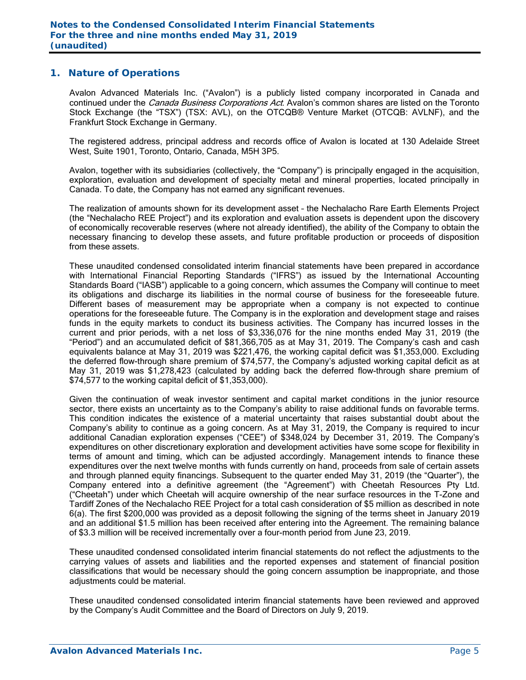### **1. Nature of Operations**

Avalon Advanced Materials Inc. ("Avalon") is a publicly listed company incorporated in Canada and continued under the *Canada Business Corporations Act*. Avalon's common shares are listed on the Toronto Stock Exchange (the "TSX") (TSX: AVL), on the OTCQB® Venture Market (OTCQB: AVLNF), and the Frankfurt Stock Exchange in Germany.

The registered address, principal address and records office of Avalon is located at 130 Adelaide Street West, Suite 1901, Toronto, Ontario, Canada, M5H 3P5.

Avalon, together with its subsidiaries (collectively, the "Company") is principally engaged in the acquisition, exploration, evaluation and development of specialty metal and mineral properties, located principally in Canada. To date, the Company has not earned any significant revenues.

The realization of amounts shown for its development asset – the Nechalacho Rare Earth Elements Project (the "Nechalacho REE Project") and its exploration and evaluation assets is dependent upon the discovery of economically recoverable reserves (where not already identified), the ability of the Company to obtain the necessary financing to develop these assets, and future profitable production or proceeds of disposition from these assets.

These unaudited condensed consolidated interim financial statements have been prepared in accordance with International Financial Reporting Standards ("IFRS") as issued by the International Accounting Standards Board ("IASB") applicable to a going concern, which assumes the Company will continue to meet its obligations and discharge its liabilities in the normal course of business for the foreseeable future. Different bases of measurement may be appropriate when a company is not expected to continue operations for the foreseeable future. The Company is in the exploration and development stage and raises funds in the equity markets to conduct its business activities. The Company has incurred losses in the current and prior periods, with a net loss of \$3,336,076 for the nine months ended May 31, 2019 (the "Period") and an accumulated deficit of \$81,366,705 as at May 31, 2019. The Company's cash and cash equivalents balance at May 31, 2019 was \$221,476, the working capital deficit was \$1,353,000. Excluding the deferred flow-through share premium of \$74,577, the Company's adjusted working capital deficit as at May 31, 2019 was \$1,278,423 (calculated by adding back the deferred flow-through share premium of \$74,577 to the working capital deficit of \$1,353,000).

Given the continuation of weak investor sentiment and capital market conditions in the junior resource sector, there exists an uncertainty as to the Company's ability to raise additional funds on favorable terms. This condition indicates the existence of a material uncertainty that raises substantial doubt about the Company's ability to continue as a going concern. As at May 31, 2019, the Company is required to incur additional Canadian exploration expenses ("CEE") of \$348,024 by December 31, 2019. The Company's expenditures on other discretionary exploration and development activities have some scope for flexibility in terms of amount and timing, which can be adjusted accordingly. Management intends to finance these expenditures over the next twelve months with funds currently on hand, proceeds from sale of certain assets and through planned equity financings. Subsequent to the quarter ended May 31, 2019 (the "Quarter"), the Company entered into a definitive agreement (the "Agreement") with Cheetah Resources Pty Ltd. ("Cheetah") under which Cheetah will acquire ownership of the near surface resources in the T-Zone and Tardiff Zones of the Nechalacho REE Project for a total cash consideration of \$5 million as described in note 6(a). The first \$200,000 was provided as a deposit following the signing of the terms sheet in January 2019 and an additional \$1.5 million has been received after entering into the Agreement. The remaining balance of \$3.3 million will be received incrementally over a four-month period from June 23, 2019.

These unaudited condensed consolidated interim financial statements do not reflect the adjustments to the carrying values of assets and liabilities and the reported expenses and statement of financial position classifications that would be necessary should the going concern assumption be inappropriate, and those adjustments could be material.

These unaudited condensed consolidated interim financial statements have been reviewed and approved by the Company's Audit Committee and the Board of Directors on July 9, 2019.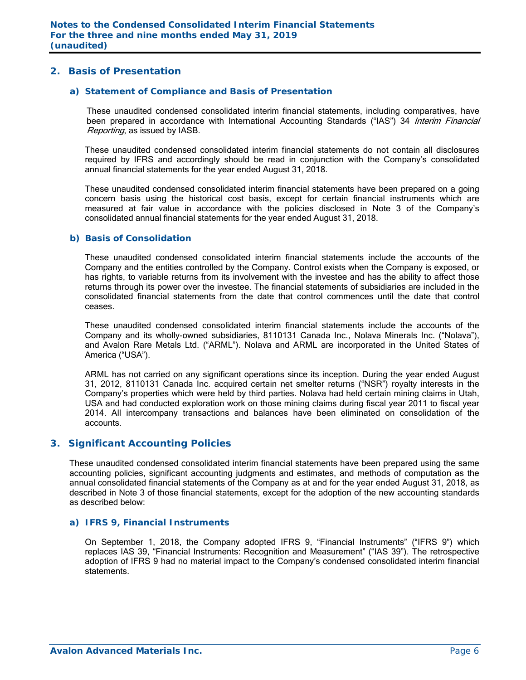### **2. Basis of Presentation**

### *a) Statement of Compliance and Basis of Presentation*

These unaudited condensed consolidated interim financial statements, including comparatives, have been prepared in accordance with International Accounting Standards ("IAS") 34 Interim Financial Reporting, as issued by IASB.

These unaudited condensed consolidated interim financial statements do not contain all disclosures required by IFRS and accordingly should be read in conjunction with the Company's consolidated annual financial statements for the year ended August 31, 2018.

These unaudited condensed consolidated interim financial statements have been prepared on a going concern basis using the historical cost basis, except for certain financial instruments which are measured at fair value in accordance with the policies disclosed in Note 3 of the Company's consolidated annual financial statements for the year ended August 31, 2018.

### *b) Basis of Consolidation*

These unaudited condensed consolidated interim financial statements include the accounts of the Company and the entities controlled by the Company. Control exists when the Company is exposed, or has rights, to variable returns from its involvement with the investee and has the ability to affect those returns through its power over the investee. The financial statements of subsidiaries are included in the consolidated financial statements from the date that control commences until the date that control ceases.

These unaudited condensed consolidated interim financial statements include the accounts of the Company and its wholly-owned subsidiaries, 8110131 Canada Inc., Nolava Minerals Inc. ("Nolava"), and Avalon Rare Metals Ltd. ("ARML"). Nolava and ARML are incorporated in the United States of America ("USA").

ARML has not carried on any significant operations since its inception. During the year ended August 31, 2012, 8110131 Canada Inc. acquired certain net smelter returns ("NSR") royalty interests in the Company's properties which were held by third parties. Nolava had held certain mining claims in Utah, USA and had conducted exploration work on those mining claims during fiscal year 2011 to fiscal year 2014. All intercompany transactions and balances have been eliminated on consolidation of the accounts.

### **3. Significant Accounting Policies**

These unaudited condensed consolidated interim financial statements have been prepared using the same accounting policies, significant accounting judgments and estimates, and methods of computation as the annual consolidated financial statements of the Company as at and for the year ended August 31, 2018, as described in Note 3 of those financial statements, except for the adoption of the new accounting standards as described below:

### *a) IFRS 9, Financial Instruments*

On September 1, 2018, the Company adopted IFRS 9, "Financial Instruments" ("IFRS 9") which replaces IAS 39, "Financial Instruments: Recognition and Measurement" ("IAS 39"). The retrospective adoption of IFRS 9 had no material impact to the Company's condensed consolidated interim financial statements.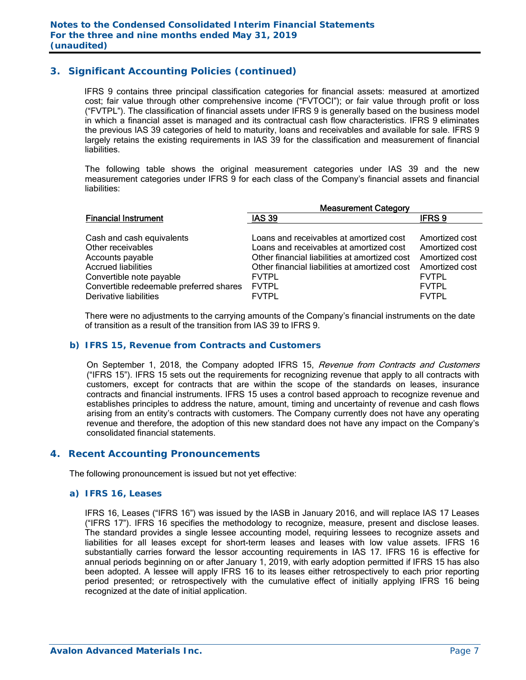### **3. Significant Accounting Policies (continued)**

IFRS 9 contains three principal classification categories for financial assets: measured at amortized cost; fair value through other comprehensive income ("FVTOCI"); or fair value through profit or loss ("FVTPL"). The classification of financial assets under IFRS 9 is generally based on the business model in which a financial asset is managed and its contractual cash flow characteristics. IFRS 9 eliminates the previous IAS 39 categories of held to maturity, loans and receivables and available for sale. IFRS 9 largely retains the existing requirements in IAS 39 for the classification and measurement of financial liabilities.

The following table shows the original measurement categories under IAS 39 and the new measurement categories under IFRS 9 for each class of the Company's financial assets and financial liabilities:

|                                         | <b>Measurement Category</b>                   |                |  |  |  |  |  |
|-----------------------------------------|-----------------------------------------------|----------------|--|--|--|--|--|
| <b>Financial Instrument</b>             | <b>IAS 39</b>                                 | <b>IFRS9</b>   |  |  |  |  |  |
|                                         |                                               |                |  |  |  |  |  |
| Cash and cash equivalents               | Loans and receivables at amortized cost       | Amortized cost |  |  |  |  |  |
| Other receivables                       | Loans and receivables at amortized cost       | Amortized cost |  |  |  |  |  |
| Accounts payable                        | Other financial liabilities at amortized cost | Amortized cost |  |  |  |  |  |
| <b>Accrued liabilities</b>              | Other financial liabilities at amortized cost | Amortized cost |  |  |  |  |  |
| Convertible note payable                | <b>FVTPL</b>                                  | <b>FVTPL</b>   |  |  |  |  |  |
| Convertible redeemable preferred shares | <b>FVTPL</b>                                  | <b>FVTPL</b>   |  |  |  |  |  |
| Derivative liabilities                  | <b>FVTPL</b>                                  | <b>FVTPL</b>   |  |  |  |  |  |

There were no adjustments to the carrying amounts of the Company's financial instruments on the date of transition as a result of the transition from IAS 39 to IFRS 9.

### *b) IFRS 15, Revenue from Contracts and Customers*

On September 1, 2018, the Company adopted IFRS 15, Revenue from Contracts and Customers ("IFRS 15"). IFRS 15 sets out the requirements for recognizing revenue that apply to all contracts with customers, except for contracts that are within the scope of the standards on leases, insurance contracts and financial instruments. IFRS 15 uses a control based approach to recognize revenue and establishes principles to address the nature, amount, timing and uncertainty of revenue and cash flows arising from an entity's contracts with customers. The Company currently does not have any operating revenue and therefore, the adoption of this new standard does not have any impact on the Company's consolidated financial statements.

### **4. Recent Accounting Pronouncements**

The following pronouncement is issued but not yet effective:

### *a) IFRS 16, Leases*

 IFRS 16, Leases ("IFRS 16") was issued by the IASB in January 2016, and will replace IAS 17 Leases ("IFRS 17"). IFRS 16 specifies the methodology to recognize, measure, present and disclose leases. The standard provides a single lessee accounting model, requiring lessees to recognize assets and liabilities for all leases except for short-term leases and leases with low value assets. IFRS 16 substantially carries forward the lessor accounting requirements in IAS 17. IFRS 16 is effective for annual periods beginning on or after January 1, 2019, with early adoption permitted if IFRS 15 has also been adopted. A lessee will apply IFRS 16 to its leases either retrospectively to each prior reporting period presented; or retrospectively with the cumulative effect of initially applying IFRS 16 being recognized at the date of initial application.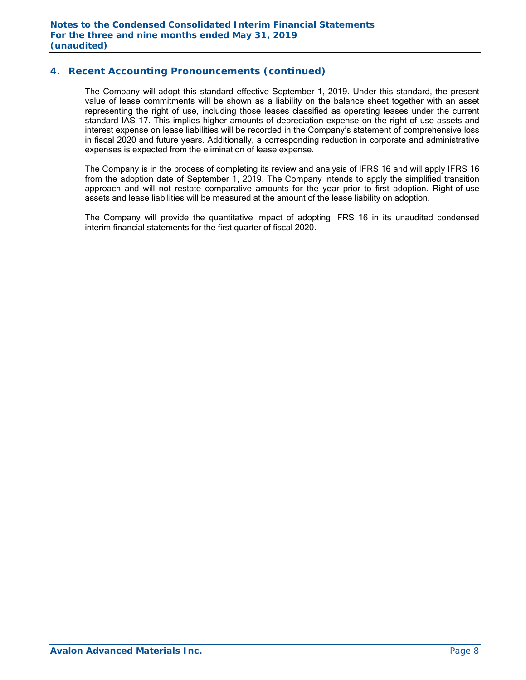### **4. Recent Accounting Pronouncements (continued)**

 The Company will adopt this standard effective September 1, 2019. Under this standard, the present value of lease commitments will be shown as a liability on the balance sheet together with an asset representing the right of use, including those leases classified as operating leases under the current standard IAS 17. This implies higher amounts of depreciation expense on the right of use assets and interest expense on lease liabilities will be recorded in the Company's statement of comprehensive loss in fiscal 2020 and future years. Additionally, a corresponding reduction in corporate and administrative expenses is expected from the elimination of lease expense.

 The Company is in the process of completing its review and analysis of IFRS 16 and will apply IFRS 16 from the adoption date of September 1, 2019. The Company intends to apply the simplified transition approach and will not restate comparative amounts for the year prior to first adoption. Right-of-use assets and lease liabilities will be measured at the amount of the lease liability on adoption.

 The Company will provide the quantitative impact of adopting IFRS 16 in its unaudited condensed interim financial statements for the first quarter of fiscal 2020.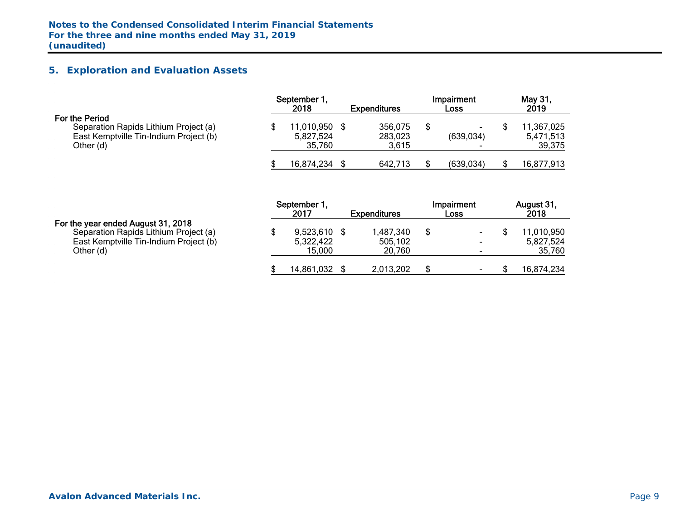# **5. Exploration and Evaluation Assets**

|                                                                                                                |  | September 1<br>2018<br><b>Expenditures</b> |  |                             |  | Impairment<br>Loss | May 31,<br>2019 |                                   |  |
|----------------------------------------------------------------------------------------------------------------|--|--------------------------------------------|--|-----------------------------|--|--------------------|-----------------|-----------------------------------|--|
| For the Period<br>Separation Rapids Lithium Project (a)<br>East Kemptville Tin-Indium Project (b)<br>Other (d) |  | 11,010,950<br>5,827,524<br>35.760          |  | 356,075<br>283,023<br>3,615 |  | -<br>(639, 034)    |                 | 11,367,025<br>5,471,513<br>39,375 |  |
|                                                                                                                |  | 16,874,234                                 |  | 642,713                     |  | (639, 034)         |                 | 16,877,913                        |  |

|                                                                                                                                    | September 1,<br>2017                  | <b>Expenditures</b>            | Impairment<br>Loss                         | August 31,<br>2018                |
|------------------------------------------------------------------------------------------------------------------------------------|---------------------------------------|--------------------------------|--------------------------------------------|-----------------------------------|
| For the year ended August 31, 2018<br>Separation Rapids Lithium Project (a)<br>East Kemptville Tin-Indium Project (b)<br>Other (d) | $9,523,610$ \$<br>5,322,422<br>15.000 | 1,487,340<br>505.102<br>20.760 | $\blacksquare$<br>$\overline{\phantom{a}}$ | 11,010,950<br>5,827,524<br>35,760 |
|                                                                                                                                    | 14,861,032                            | 2,013,202                      | $\overline{\phantom{0}}$                   | 16,874,234                        |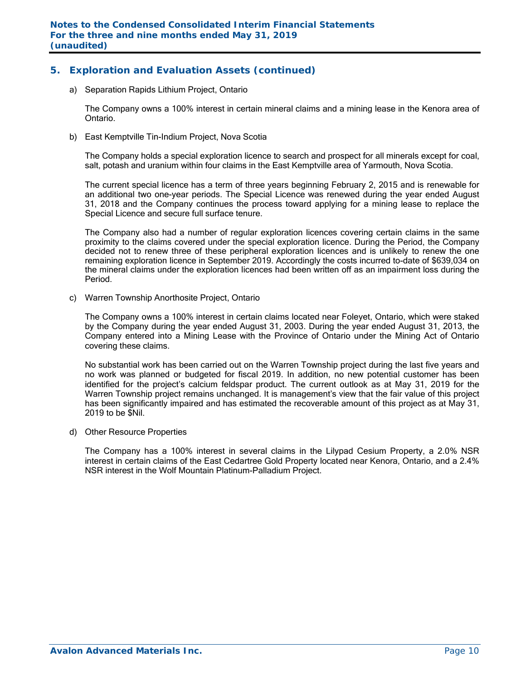# **5. Exploration and Evaluation Assets (continued)**

a) Separation Rapids Lithium Project, Ontario

The Company owns a 100% interest in certain mineral claims and a mining lease in the Kenora area of Ontario.

b) East Kemptville Tin-Indium Project, Nova Scotia

The Company holds a special exploration licence to search and prospect for all minerals except for coal, salt, potash and uranium within four claims in the East Kemptville area of Yarmouth, Nova Scotia.

The current special licence has a term of three years beginning February 2, 2015 and is renewable for an additional two one-year periods. The Special Licence was renewed during the year ended August 31, 2018 and the Company continues the process toward applying for a mining lease to replace the Special Licence and secure full surface tenure.

The Company also had a number of regular exploration licences covering certain claims in the same proximity to the claims covered under the special exploration licence. During the Period, the Company decided not to renew three of these peripheral exploration licences and is unlikely to renew the one remaining exploration licence in September 2019. Accordingly the costs incurred to-date of \$639,034 on the mineral claims under the exploration licences had been written off as an impairment loss during the Period.

c) Warren Township Anorthosite Project, Ontario

The Company owns a 100% interest in certain claims located near Foleyet, Ontario, which were staked by the Company during the year ended August 31, 2003. During the year ended August 31, 2013, the Company entered into a Mining Lease with the Province of Ontario under the Mining Act of Ontario covering these claims.

No substantial work has been carried out on the Warren Township project during the last five years and no work was planned or budgeted for fiscal 2019. In addition, no new potential customer has been identified for the project's calcium feldspar product. The current outlook as at May 31, 2019 for the Warren Township project remains unchanged. It is management's view that the fair value of this project has been significantly impaired and has estimated the recoverable amount of this project as at May 31, 2019 to be \$Nil.

d) Other Resource Properties

The Company has a 100% interest in several claims in the Lilypad Cesium Property, a 2.0% NSR interest in certain claims of the East Cedartree Gold Property located near Kenora, Ontario, and a 2.4% NSR interest in the Wolf Mountain Platinum-Palladium Project.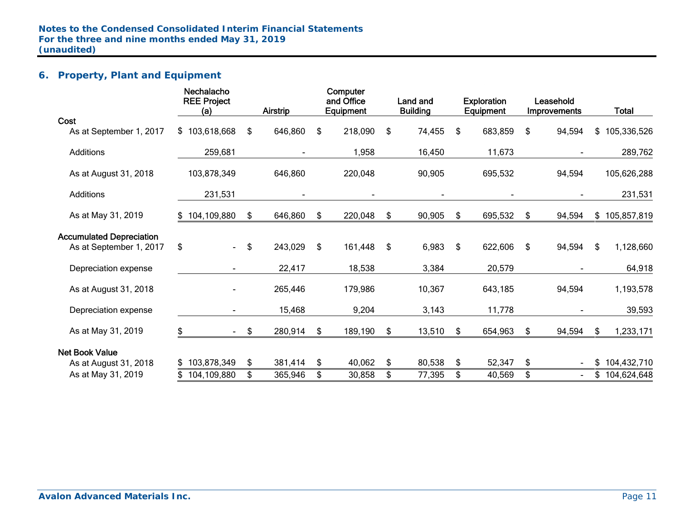# **6. Property, Plant and Equipment**

|                                 | Nechalacho<br><b>REE Project</b><br>(a) | <b>Airstrip</b> | Computer<br>and Office<br>Equipment | Land and<br><b>Building</b> |     | <b>Exploration</b><br>Equipment | Leasehold<br><b>Improvements</b> |     | <b>Total</b>  |
|---------------------------------|-----------------------------------------|-----------------|-------------------------------------|-----------------------------|-----|---------------------------------|----------------------------------|-----|---------------|
| Cost                            |                                         |                 |                                     |                             |     |                                 |                                  |     |               |
| As at September 1, 2017         | \$103,618,668                           | \$<br>646,860   | \$<br>218,090                       | \$<br>74,455                | \$  | 683,859                         | \$<br>94,594                     |     | \$105,336,526 |
| <b>Additions</b>                | 259,681                                 |                 | 1,958                               | 16,450                      |     | 11,673                          |                                  |     | 289,762       |
| As at August 31, 2018           | 103,878,349                             | 646,860         | 220,048                             | 90,905                      |     | 695,532                         | 94,594                           |     | 105,626,288   |
| <b>Additions</b>                | 231,531                                 |                 |                                     |                             |     |                                 |                                  |     | 231,531       |
| As at May 31, 2019              | \$104,109,880                           | \$<br>646,860   | \$<br>220,048                       | \$<br>90,905                | \$  | 695,532                         | \$<br>94,594                     |     | \$105,857,819 |
| <b>Accumulated Depreciation</b> |                                         |                 |                                     |                             |     |                                 |                                  |     |               |
| As at September 1, 2017         | \$<br>$\blacksquare$                    | \$<br>243,029   | \$<br>161,448                       | \$<br>6,983                 | -\$ | 622,606                         | \$<br>94,594                     | \$. | 1,128,660     |
| Depreciation expense            |                                         | 22,417          | 18,538                              | 3,384                       |     | 20,579                          |                                  |     | 64,918        |
| As at August 31, 2018           |                                         | 265,446         | 179,986                             | 10,367                      |     | 643,185                         | 94,594                           |     | 1,193,578     |
| Depreciation expense            |                                         | 15,468          | 9,204                               | 3,143                       |     | 11,778                          |                                  |     | 39,593        |
| As at May 31, 2019              | \$<br>$\sim$ 100 $\mu$                  | \$<br>280,914   | \$<br>189,190                       | \$<br>13,510                | \$  | 654,963                         | \$<br>94,594                     | S.  | 1,233,171     |
| <b>Net Book Value</b>           |                                         |                 |                                     |                             |     |                                 |                                  |     |               |
| As at August 31, 2018           | 103,878,349                             | \$<br>381,414   | \$<br>40,062                        | \$<br>80,538                | \$  | 52,347                          | \$                               | \$  | 104,432,710   |
| As at May 31, 2019              | 104,109,880                             | \$<br>365,946   | \$<br>30,858                        | \$<br>77,395                | \$  | 40,569                          | \$                               |     | \$104,624,648 |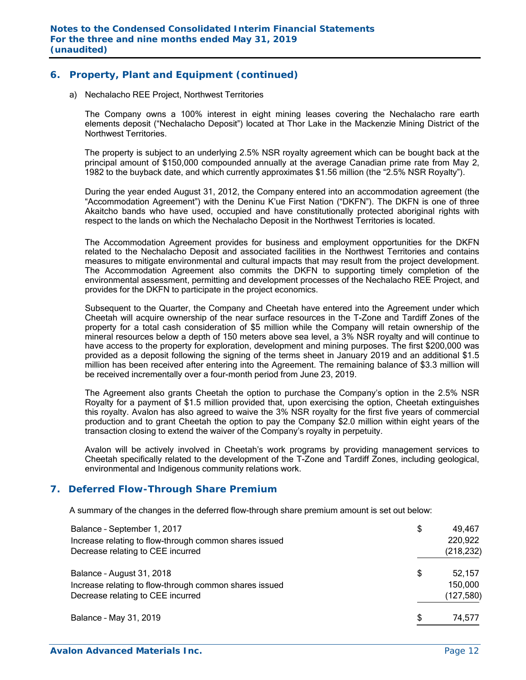### **6. Property, Plant and Equipment (continued)**

a) Nechalacho REE Project, Northwest Territories

The Company owns a 100% interest in eight mining leases covering the Nechalacho rare earth elements deposit ("Nechalacho Deposit") located at Thor Lake in the Mackenzie Mining District of the Northwest Territories.

The property is subject to an underlying 2.5% NSR royalty agreement which can be bought back at the principal amount of \$150,000 compounded annually at the average Canadian prime rate from May 2, 1982 to the buyback date, and which currently approximates \$1.56 million (the "2.5% NSR Royalty").

During the year ended August 31, 2012, the Company entered into an accommodation agreement (the "Accommodation Agreement") with the Deninu K'ue First Nation ("DKFN"). The DKFN is one of three Akaitcho bands who have used, occupied and have constitutionally protected aboriginal rights with respect to the lands on which the Nechalacho Deposit in the Northwest Territories is located.

The Accommodation Agreement provides for business and employment opportunities for the DKFN related to the Nechalacho Deposit and associated facilities in the Northwest Territories and contains measures to mitigate environmental and cultural impacts that may result from the project development. The Accommodation Agreement also commits the DKFN to supporting timely completion of the environmental assessment, permitting and development processes of the Nechalacho REE Project, and provides for the DKFN to participate in the project economics.

Subsequent to the Quarter, the Company and Cheetah have entered into the Agreement under which Cheetah will acquire ownership of the near surface resources in the T-Zone and Tardiff Zones of the property for a total cash consideration of \$5 million while the Company will retain ownership of the mineral resources below a depth of 150 meters above sea level, a 3% NSR royalty and will continue to have access to the property for exploration, development and mining purposes. The first \$200,000 was provided as a deposit following the signing of the terms sheet in January 2019 and an additional \$1.5 million has been received after entering into the Agreement. The remaining balance of \$3.3 million will be received incrementally over a four-month period from June 23, 2019.

The Agreement also grants Cheetah the option to purchase the Company's option in the 2.5% NSR Royalty for a payment of \$1.5 million provided that, upon exercising the option, Cheetah extinguishes this royalty. Avalon has also agreed to waive the 3% NSR royalty for the first five years of commercial production and to grant Cheetah the option to pay the Company \$2.0 million within eight years of the transaction closing to extend the waiver of the Company's royalty in perpetuity.

Avalon will be actively involved in Cheetah's work programs by providing management services to Cheetah specifically related to the development of the T-Zone and Tardiff Zones, including geological, environmental and Indigenous community relations work.

### **7. Deferred Flow-Through Share Premium**

A summary of the changes in the deferred flow-through share premium amount is set out below:

| Balance - September 1, 2017<br>Increase relating to flow-through common shares issued<br>Decrease relating to CEE incurred | \$<br>49,467<br>220,922<br>(218, 232) |
|----------------------------------------------------------------------------------------------------------------------------|---------------------------------------|
| Balance - August 31, 2018<br>Increase relating to flow-through common shares issued<br>Decrease relating to CEE incurred   | \$<br>52,157<br>150,000<br>(127, 580) |
| Balance - May 31, 2019                                                                                                     | \$<br>74,577                          |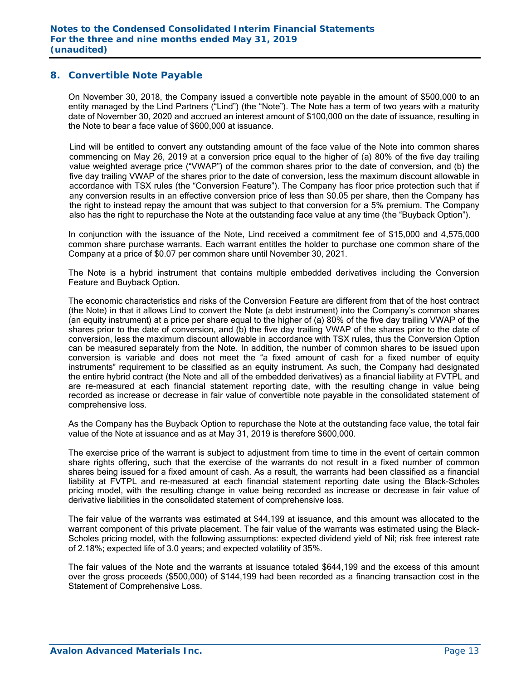### **8. Convertible Note Payable**

On November 30, 2018, the Company issued a convertible note payable in the amount of \$500,000 to an entity managed by the Lind Partners ("Lind") (the "Note"). The Note has a term of two years with a maturity date of November 30, 2020 and accrued an interest amount of \$100,000 on the date of issuance, resulting in the Note to bear a face value of \$600,000 at issuance.

Lind will be entitled to convert any outstanding amount of the face value of the Note into common shares commencing on May 26, 2019 at a conversion price equal to the higher of (a) 80% of the five day trailing value weighted average price ("VWAP") of the common shares prior to the date of conversion, and (b) the five day trailing VWAP of the shares prior to the date of conversion, less the maximum discount allowable in accordance with TSX rules (the "Conversion Feature"). The Company has floor price protection such that if any conversion results in an effective conversion price of less than \$0.05 per share, then the Company has the right to instead repay the amount that was subject to that conversion for a 5% premium. The Company also has the right to repurchase the Note at the outstanding face value at any time (the "Buyback Option").

In conjunction with the issuance of the Note, Lind received a commitment fee of \$15,000 and 4,575,000 common share purchase warrants. Each warrant entitles the holder to purchase one common share of the Company at a price of \$0.07 per common share until November 30, 2021.

The Note is a hybrid instrument that contains multiple embedded derivatives including the Conversion Feature and Buyback Option.

The economic characteristics and risks of the Conversion Feature are different from that of the host contract (the Note) in that it allows Lind to convert the Note (a debt instrument) into the Company's common shares (an equity instrument) at a price per share equal to the higher of (a) 80% of the five day trailing VWAP of the shares prior to the date of conversion, and (b) the five day trailing VWAP of the shares prior to the date of conversion, less the maximum discount allowable in accordance with TSX rules, thus the Conversion Option can be measured separately from the Note. In addition, the number of common shares to be issued upon conversion is variable and does not meet the "a fixed amount of cash for a fixed number of equity instruments" requirement to be classified as an equity instrument. As such, the Company had designated the entire hybrid contract (the Note and all of the embedded derivatives) as a financial liability at FVTPL and are re-measured at each financial statement reporting date, with the resulting change in value being recorded as increase or decrease in fair value of convertible note payable in the consolidated statement of comprehensive loss.

As the Company has the Buyback Option to repurchase the Note at the outstanding face value, the total fair value of the Note at issuance and as at May 31, 2019 is therefore \$600,000.

The exercise price of the warrant is subject to adjustment from time to time in the event of certain common share rights offering, such that the exercise of the warrants do not result in a fixed number of common shares being issued for a fixed amount of cash. As a result, the warrants had been classified as a financial liability at FVTPL and re-measured at each financial statement reporting date using the Black-Scholes pricing model, with the resulting change in value being recorded as increase or decrease in fair value of derivative liabilities in the consolidated statement of comprehensive loss.

The fair value of the warrants was estimated at \$44,199 at issuance, and this amount was allocated to the warrant component of this private placement. The fair value of the warrants was estimated using the Black-Scholes pricing model, with the following assumptions: expected dividend yield of Nil; risk free interest rate of 2.18%; expected life of 3.0 years; and expected volatility of 35%.

The fair values of the Note and the warrants at issuance totaled \$644,199 and the excess of this amount over the gross proceeds (\$500,000) of \$144,199 had been recorded as a financing transaction cost in the Statement of Comprehensive Loss.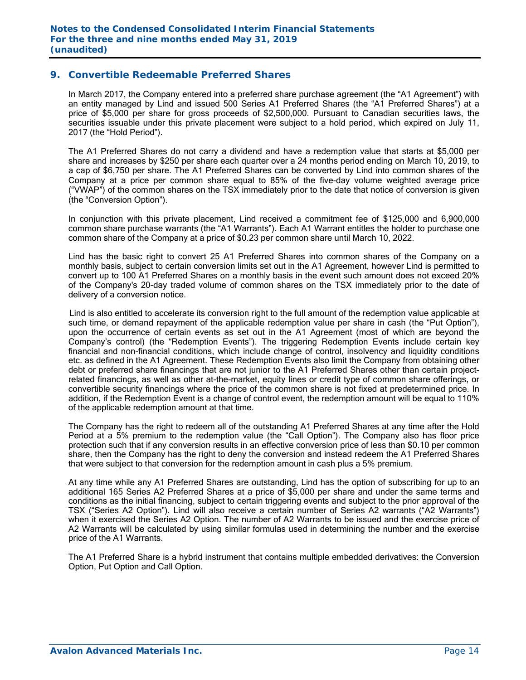### **9. Convertible Redeemable Preferred Shares**

In March 2017, the Company entered into a preferred share purchase agreement (the "A1 Agreement") with an entity managed by Lind and issued 500 Series A1 Preferred Shares (the "A1 Preferred Shares") at a price of \$5,000 per share for gross proceeds of \$2,500,000. Pursuant to Canadian securities laws, the securities issuable under this private placement were subject to a hold period, which expired on July 11, 2017 (the "Hold Period").

The A1 Preferred Shares do not carry a dividend and have a redemption value that starts at \$5,000 per share and increases by \$250 per share each quarter over a 24 months period ending on March 10, 2019, to a cap of \$6,750 per share. The A1 Preferred Shares can be converted by Lind into common shares of the Company at a price per common share equal to 85% of the five-day volume weighted average price ("VWAP") of the common shares on the TSX immediately prior to the date that notice of conversion is given (the "Conversion Option").

In conjunction with this private placement, Lind received a commitment fee of \$125,000 and 6,900,000 common share purchase warrants (the "A1 Warrants"). Each A1 Warrant entitles the holder to purchase one common share of the Company at a price of \$0.23 per common share until March 10, 2022.

Lind has the basic right to convert 25 A1 Preferred Shares into common shares of the Company on a monthly basis, subject to certain conversion limits set out in the A1 Agreement, however Lind is permitted to convert up to 100 A1 Preferred Shares on a monthly basis in the event such amount does not exceed 20% of the Company's 20-day traded volume of common shares on the TSX immediately prior to the date of delivery of a conversion notice.

 Lind is also entitled to accelerate its conversion right to the full amount of the redemption value applicable at such time, or demand repayment of the applicable redemption value per share in cash (the "Put Option"), upon the occurrence of certain events as set out in the A1 Agreement (most of which are beyond the Company's control) (the "Redemption Events"). The triggering Redemption Events include certain key financial and non-financial conditions, which include change of control, insolvency and liquidity conditions etc. as defined in the A1 Agreement. These Redemption Events also limit the Company from obtaining other debt or preferred share financings that are not junior to the A1 Preferred Shares other than certain projectrelated financings, as well as other at-the-market, equity lines or credit type of common share offerings, or convertible security financings where the price of the common share is not fixed at predetermined price. In addition, if the Redemption Event is a change of control event, the redemption amount will be equal to 110% of the applicable redemption amount at that time.

The Company has the right to redeem all of the outstanding A1 Preferred Shares at any time after the Hold Period at a 5% premium to the redemption value (the "Call Option"). The Company also has floor price protection such that if any conversion results in an effective conversion price of less than \$0.10 per common share, then the Company has the right to deny the conversion and instead redeem the A1 Preferred Shares that were subject to that conversion for the redemption amount in cash plus a 5% premium.

At any time while any A1 Preferred Shares are outstanding, Lind has the option of subscribing for up to an additional 165 Series A2 Preferred Shares at a price of \$5,000 per share and under the same terms and conditions as the initial financing, subject to certain triggering events and subject to the prior approval of the TSX ("Series A2 Option"). Lind will also receive a certain number of Series A2 warrants ("A2 Warrants") when it exercised the Series A2 Option. The number of A2 Warrants to be issued and the exercise price of A2 Warrants will be calculated by using similar formulas used in determining the number and the exercise price of the A1 Warrants.

The A1 Preferred Share is a hybrid instrument that contains multiple embedded derivatives: the Conversion Option, Put Option and Call Option.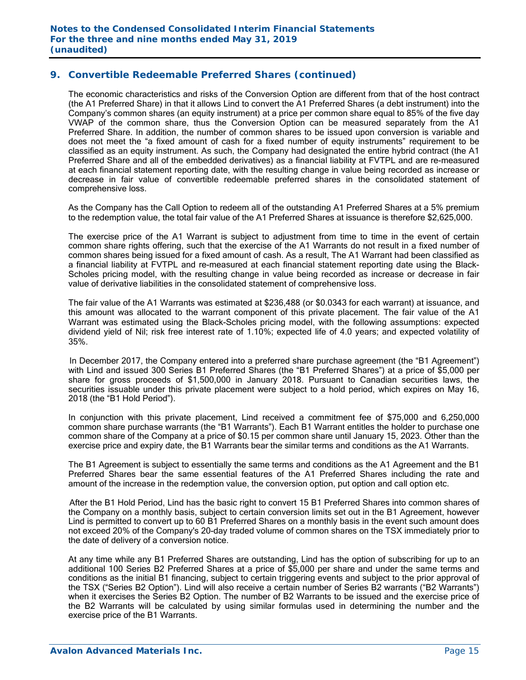### **9. Convertible Redeemable Preferred Shares (continued)**

The economic characteristics and risks of the Conversion Option are different from that of the host contract (the A1 Preferred Share) in that it allows Lind to convert the A1 Preferred Shares (a debt instrument) into the Company's common shares (an equity instrument) at a price per common share equal to 85% of the five day VWAP of the common share, thus the Conversion Option can be measured separately from the A1 Preferred Share. In addition, the number of common shares to be issued upon conversion is variable and does not meet the "a fixed amount of cash for a fixed number of equity instruments" requirement to be classified as an equity instrument. As such, the Company had designated the entire hybrid contract (the A1 Preferred Share and all of the embedded derivatives) as a financial liability at FVTPL and are re-measured at each financial statement reporting date, with the resulting change in value being recorded as increase or decrease in fair value of convertible redeemable preferred shares in the consolidated statement of comprehensive loss.

As the Company has the Call Option to redeem all of the outstanding A1 Preferred Shares at a 5% premium to the redemption value, the total fair value of the A1 Preferred Shares at issuance is therefore \$2,625,000.

The exercise price of the A1 Warrant is subject to adjustment from time to time in the event of certain common share rights offering, such that the exercise of the A1 Warrants do not result in a fixed number of common shares being issued for a fixed amount of cash. As a result, The A1 Warrant had been classified as a financial liability at FVTPL and re-measured at each financial statement reporting date using the Black-Scholes pricing model, with the resulting change in value being recorded as increase or decrease in fair value of derivative liabilities in the consolidated statement of comprehensive loss.

 The fair value of the A1 Warrants was estimated at \$236,488 (or \$0.0343 for each warrant) at issuance, and this amount was allocated to the warrant component of this private placement. The fair value of the A1 Warrant was estimated using the Black-Scholes pricing model, with the following assumptions: expected dividend yield of Nil; risk free interest rate of 1.10%; expected life of 4.0 years; and expected volatility of 35%.

In December 2017, the Company entered into a preferred share purchase agreement (the "B1 Agreement") with Lind and issued 300 Series B1 Preferred Shares (the "B1 Preferred Shares") at a price of \$5,000 per share for gross proceeds of \$1,500,000 in January 2018. Pursuant to Canadian securities laws, the securities issuable under this private placement were subject to a hold period, which expires on May 16, 2018 (the "B1 Hold Period").

In conjunction with this private placement, Lind received a commitment fee of \$75,000 and 6,250,000 common share purchase warrants (the "B1 Warrants"). Each B1 Warrant entitles the holder to purchase one common share of the Company at a price of \$0.15 per common share until January 15, 2023. Other than the exercise price and expiry date, the B1 Warrants bear the similar terms and conditions as the A1 Warrants.

The B1 Agreement is subject to essentially the same terms and conditions as the A1 Agreement and the B1 Preferred Shares bear the same essential features of the A1 Preferred Shares including the rate and amount of the increase in the redemption value, the conversion option, put option and call option etc.

 After the B1 Hold Period, Lind has the basic right to convert 15 B1 Preferred Shares into common shares of the Company on a monthly basis, subject to certain conversion limits set out in the B1 Agreement, however Lind is permitted to convert up to 60 B1 Preferred Shares on a monthly basis in the event such amount does not exceed 20% of the Company's 20-day traded volume of common shares on the TSX immediately prior to the date of delivery of a conversion notice.

At any time while any B1 Preferred Shares are outstanding, Lind has the option of subscribing for up to an additional 100 Series B2 Preferred Shares at a price of \$5,000 per share and under the same terms and conditions as the initial B1 financing, subject to certain triggering events and subject to the prior approval of the TSX ("Series B2 Option"). Lind will also receive a certain number of Series B2 warrants ("B2 Warrants") when it exercises the Series B2 Option. The number of B2 Warrants to be issued and the exercise price of the B2 Warrants will be calculated by using similar formulas used in determining the number and the exercise price of the B1 Warrants.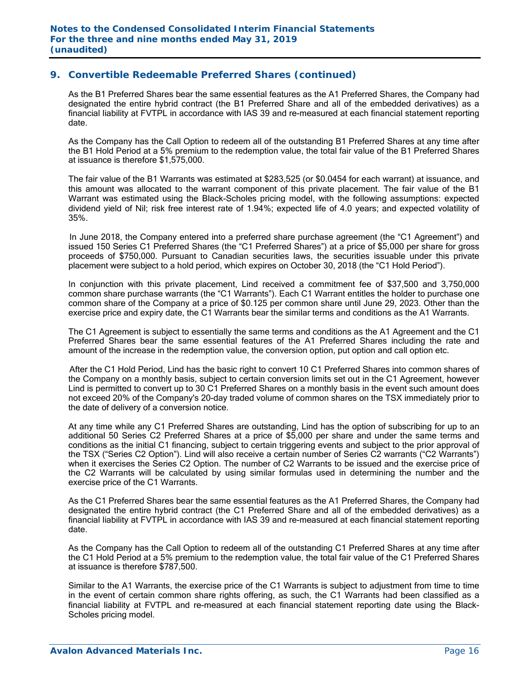### **9. Convertible Redeemable Preferred Shares (continued)**

As the B1 Preferred Shares bear the same essential features as the A1 Preferred Shares, the Company had designated the entire hybrid contract (the B1 Preferred Share and all of the embedded derivatives) as a financial liability at FVTPL in accordance with IAS 39 and re-measured at each financial statement reporting date.

As the Company has the Call Option to redeem all of the outstanding B1 Preferred Shares at any time after the B1 Hold Period at a 5% premium to the redemption value, the total fair value of the B1 Preferred Shares at issuance is therefore \$1,575,000.

 The fair value of the B1 Warrants was estimated at \$283,525 (or \$0.0454 for each warrant) at issuance, and this amount was allocated to the warrant component of this private placement. The fair value of the B1 Warrant was estimated using the Black-Scholes pricing model, with the following assumptions: expected dividend yield of Nil; risk free interest rate of 1.94%; expected life of 4.0 years; and expected volatility of 35%.

 In June 2018, the Company entered into a preferred share purchase agreement (the "C1 Agreement") and issued 150 Series C1 Preferred Shares (the "C1 Preferred Shares") at a price of \$5,000 per share for gross proceeds of \$750,000. Pursuant to Canadian securities laws, the securities issuable under this private placement were subject to a hold period, which expires on October 30, 2018 (the "C1 Hold Period").

In conjunction with this private placement, Lind received a commitment fee of \$37,500 and 3,750,000 common share purchase warrants (the "C1 Warrants"). Each C1 Warrant entitles the holder to purchase one common share of the Company at a price of \$0.125 per common share until June 29, 2023. Other than the exercise price and expiry date, the C1 Warrants bear the similar terms and conditions as the A1 Warrants.

The C1 Agreement is subject to essentially the same terms and conditions as the A1 Agreement and the C1 Preferred Shares bear the same essential features of the A1 Preferred Shares including the rate and amount of the increase in the redemption value, the conversion option, put option and call option etc.

 After the C1 Hold Period, Lind has the basic right to convert 10 C1 Preferred Shares into common shares of the Company on a monthly basis, subject to certain conversion limits set out in the C1 Agreement, however Lind is permitted to convert up to 30 C1 Preferred Shares on a monthly basis in the event such amount does not exceed 20% of the Company's 20-day traded volume of common shares on the TSX immediately prior to the date of delivery of a conversion notice.

At any time while any C1 Preferred Shares are outstanding, Lind has the option of subscribing for up to an additional 50 Series C2 Preferred Shares at a price of \$5,000 per share and under the same terms and conditions as the initial C1 financing, subject to certain triggering events and subject to the prior approval of the TSX ("Series C2 Option"). Lind will also receive a certain number of Series C2 warrants ("C2 Warrants") when it exercises the Series C2 Option. The number of C2 Warrants to be issued and the exercise price of the C2 Warrants will be calculated by using similar formulas used in determining the number and the exercise price of the C1 Warrants.

As the C1 Preferred Shares bear the same essential features as the A1 Preferred Shares, the Company had designated the entire hybrid contract (the C1 Preferred Share and all of the embedded derivatives) as a financial liability at FVTPL in accordance with IAS 39 and re-measured at each financial statement reporting date.

As the Company has the Call Option to redeem all of the outstanding C1 Preferred Shares at any time after the C1 Hold Period at a 5% premium to the redemption value, the total fair value of the C1 Preferred Shares at issuance is therefore \$787,500.

Similar to the A1 Warrants, the exercise price of the C1 Warrants is subject to adjustment from time to time in the event of certain common share rights offering, as such, the C1 Warrants had been classified as a financial liability at FVTPL and re-measured at each financial statement reporting date using the Black-Scholes pricing model.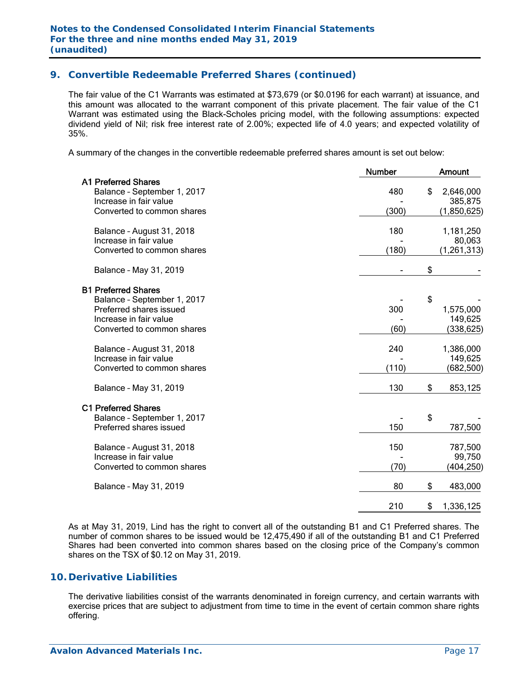# **9. Convertible Redeemable Preferred Shares (continued)**

 The fair value of the C1 Warrants was estimated at \$73,679 (or \$0.0196 for each warrant) at issuance, and this amount was allocated to the warrant component of this private placement. The fair value of the C1 Warrant was estimated using the Black-Scholes pricing model, with the following assumptions: expected dividend yield of Nil; risk free interest rate of 2.00%; expected life of 4.0 years; and expected volatility of 35%.

A summary of the changes in the convertible redeemable preferred shares amount is set out below:

|                                                                                                                                              | <b>Number</b> | <b>Amount</b>                             |
|----------------------------------------------------------------------------------------------------------------------------------------------|---------------|-------------------------------------------|
| <b>A1 Preferred Shares</b><br>Balance - September 1, 2017<br>Increase in fair value<br>Converted to common shares                            | 480<br>(300)  | \$<br>2,646,000<br>385,875<br>(1,850,625) |
| Balance - August 31, 2018<br>Increase in fair value<br>Converted to common shares                                                            | 180<br>(180)  | 1,181,250<br>80,063<br>(1, 261, 313)      |
| Balance - May 31, 2019                                                                                                                       |               | \$                                        |
| <b>B1 Preferred Shares</b><br>Balance - September 1, 2017<br>Preferred shares issued<br>Increase in fair value<br>Converted to common shares | 300<br>(60)   | \$<br>1,575,000<br>149,625<br>(338,625)   |
| Balance - August 31, 2018<br>Increase in fair value<br>Converted to common shares                                                            | 240<br>(110)  | 1,386,000<br>149,625<br>(682, 500)        |
| Balance - May 31, 2019                                                                                                                       | 130           | \$<br>853,125                             |
| <b>C1 Preferred Shares</b><br>Balance - September 1, 2017<br>Preferred shares issued                                                         | 150           | \$<br>787,500                             |
| Balance - August 31, 2018<br>Increase in fair value<br>Converted to common shares                                                            | 150<br>(70)   | 787,500<br>99,750<br>(404,250)            |
| Balance - May 31, 2019                                                                                                                       | 80            | \$<br>483,000                             |
|                                                                                                                                              | 210           | \$<br>1,336,125                           |

As at May 31, 2019, Lind has the right to convert all of the outstanding B1 and C1 Preferred shares. The number of common shares to be issued would be 12,475,490 if all of the outstanding B1 and C1 Preferred Shares had been converted into common shares based on the closing price of the Company's common shares on the TSX of \$0.12 on May 31, 2019.

### **10. Derivative Liabilities**

The derivative liabilities consist of the warrants denominated in foreign currency, and certain warrants with exercise prices that are subject to adjustment from time to time in the event of certain common share rights offering.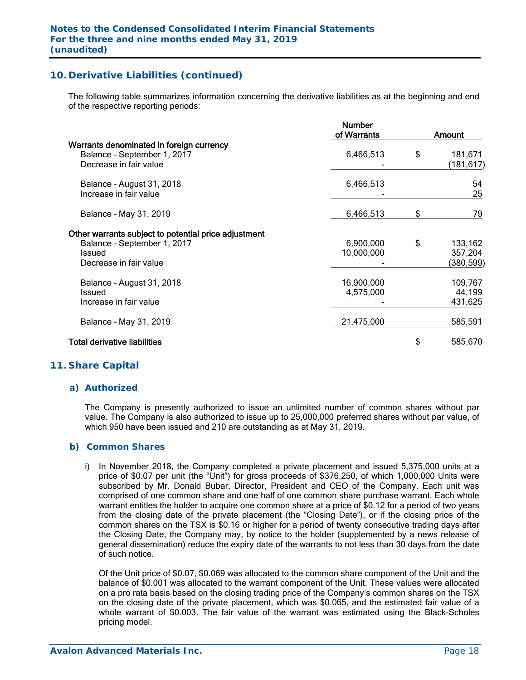# **10. Derivative Liabilities (continued)**

The following table summarizes information concerning the derivative liabilities as at the beginning and end of the respective reporting periods:

|                                                                                                                         | <b>Number</b><br>of Warrants | Amount |                                 |  |  |
|-------------------------------------------------------------------------------------------------------------------------|------------------------------|--------|---------------------------------|--|--|
| Warrants denominated in foreign currency<br>Balance - September 1, 2017<br>Decrease in fair value                       | 6,466,513                    | \$     | 181,671<br>(181,617)            |  |  |
| Balance - August 31, 2018<br>Increase in fair value                                                                     | 6,466,513                    |        | 54<br>25                        |  |  |
| Balance - May 31, 2019                                                                                                  | 6,466,513                    | \$     | 79                              |  |  |
| Other warrants subject to potential price adjustment<br>Balance - September 1, 2017<br>Issued<br>Decrease in fair value | 6,900,000<br>10,000,000      | \$     | 133,162<br>357,204<br>(380,599) |  |  |
| Balance - August 31, 2018<br>Issued<br>Increase in fair value                                                           | 16,900,000<br>4,575,000      |        | 109,767<br>44,199<br>431,625    |  |  |
| Balance - May 31, 2019                                                                                                  | 21,475,000                   |        | 585,591                         |  |  |
| <b>Total derivative liabilities</b>                                                                                     |                              |        | 585,670                         |  |  |

### **11. Share Capital**

### *a) Authorized*

The Company is presently authorized to issue an unlimited number of common shares without par value. The Company is also authorized to issue up to 25,000,000 preferred shares without par value, of which 950 have been issued and 210 are outstanding as at May 31, 2019.

### *b) Common Shares*

i) In November 2018, the Company completed a private placement and issued 5,375,000 units at a price of \$0.07 per unit (the "Unit") for gross proceeds of \$376,250, of which 1,000,000 Units were subscribed by Mr. Donald Bubar, Director, President and CEO of the Company. Each unit was comprised of one common share and one half of one common share purchase warrant. Each whole warrant entitles the holder to acquire one common share at a price of \$0.12 for a period of two years from the closing date of the private placement (the "Closing Date"), or if the closing price of the common shares on the TSX is \$0.16 or higher for a period of twenty consecutive trading days after the Closing Date, the Company may, by notice to the holder (supplemented by a news release of general dissemination) reduce the expiry date of the warrants to not less than 30 days from the date of such notice.

Of the Unit price of \$0.07, \$0.069 was allocated to the common share component of the Unit and the balance of \$0.001 was allocated to the warrant component of the Unit. These values were allocated on a pro rata basis based on the closing trading price of the Company's common shares on the TSX on the closing date of the private placement, which was \$0.065, and the estimated fair value of a whole warrant of \$0.003. The fair value of the warrant was estimated using the Black-Scholes pricing model.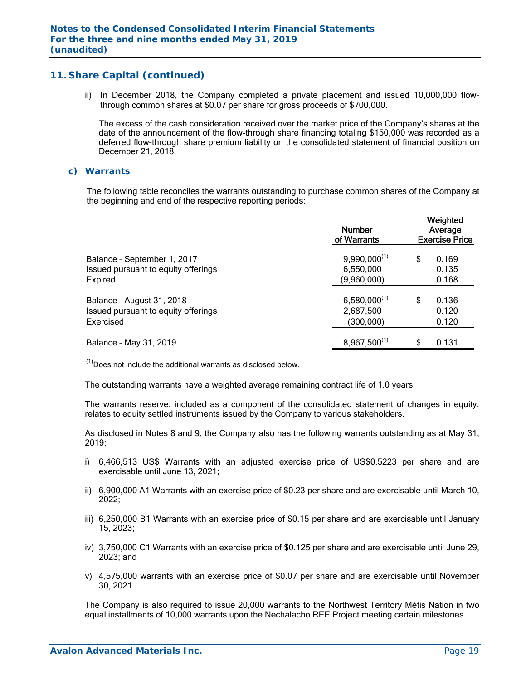ii) In December 2018, the Company completed a private placement and issued 10,000,000 flowthrough common shares at \$0.07 per share for gross proceeds of \$700,000.

 The excess of the cash consideration received over the market price of the Company's shares at the date of the announcement of the flow-through share financing totaling \$150,000 was recorded as a deferred flow-through share premium liability on the consolidated statement of financial position on December 21, 2018.

### *c) Warrants*

The following table reconciles the warrants outstanding to purchase common shares of the Company at the beginning and end of the respective reporting periods:

|                                     | <b>Number</b><br>of Warrants |    | Weighted<br>Average<br><b>Exercise Price</b> |  |
|-------------------------------------|------------------------------|----|----------------------------------------------|--|
| Balance - September 1, 2017         | $9,990,000^{(1)}$            | \$ | 0.169                                        |  |
| Issued pursuant to equity offerings | 6,550,000                    |    | 0.135                                        |  |
| Expired                             | (9,960,000)                  |    | 0.168                                        |  |
| Balance - August 31, 2018           | $6,580,000^{(1)}$            | S  | 0.136                                        |  |
| Issued pursuant to equity offerings | 2,687,500                    |    | 0.120                                        |  |
| Exercised                           | (300, 000)                   |    | 0.120                                        |  |
| Balance - May 31, 2019              | $8,967,500^{(1)}$            | S  | 0.131                                        |  |

 $<sup>(1)</sup>$  Does not include the additional warrants as disclosed below.</sup>

The outstanding warrants have a weighted average remaining contract life of 1.0 years.

The warrants reserve, included as a component of the consolidated statement of changes in equity, relates to equity settled instruments issued by the Company to various stakeholders.

As disclosed in Notes 8 and 9, the Company also has the following warrants outstanding as at May 31, 2019:

- i) 6,466,513 US\$ Warrants with an adjusted exercise price of US\$0.5223 per share and are exercisable until June 13, 2021;
- ii) 6,900,000 A1 Warrants with an exercise price of \$0.23 per share and are exercisable until March 10, 2022;
- iii) 6,250,000 B1 Warrants with an exercise price of \$0.15 per share and are exercisable until January 15, 2023;
- iv) 3,750,000 C1 Warrants with an exercise price of \$0.125 per share and are exercisable until June 29, 2023; and
- v) 4,575,000 warrants with an exercise price of \$0.07 per share and are exercisable until November 30, 2021.

The Company is also required to issue 20,000 warrants to the Northwest Territory Métis Nation in two equal installments of 10,000 warrants upon the Nechalacho REE Project meeting certain milestones.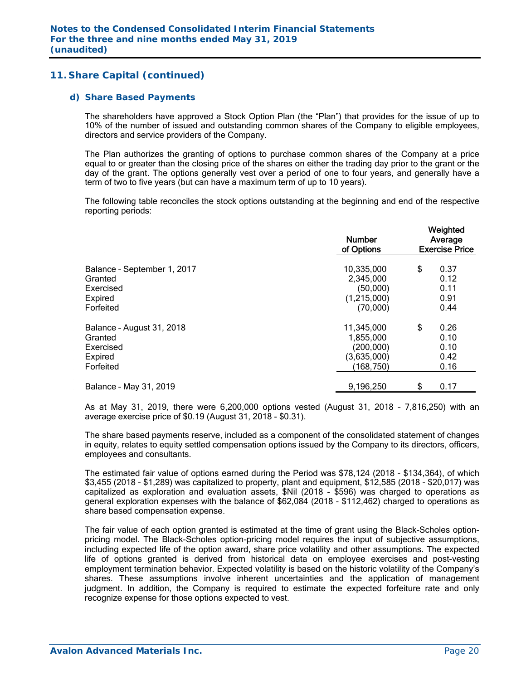### *d) Share Based Payments*

The shareholders have approved a Stock Option Plan (the "Plan") that provides for the issue of up to 10% of the number of issued and outstanding common shares of the Company to eligible employees, directors and service providers of the Company.

The Plan authorizes the granting of options to purchase common shares of the Company at a price equal to or greater than the closing price of the shares on either the trading day prior to the grant or the day of the grant. The options generally vest over a period of one to four years, and generally have a term of two to five years (but can have a maximum term of up to 10 years).

The following table reconciles the stock options outstanding at the beginning and end of the respective reporting periods:

|                             | <b>Number</b><br>of Options | Weighted<br>Average<br><b>Exercise Price</b> |
|-----------------------------|-----------------------------|----------------------------------------------|
| Balance - September 1, 2017 | 10,335,000                  | \$<br>0.37                                   |
| Granted                     | 2,345,000                   | 0.12                                         |
| Exercised                   | (50,000)                    | 0.11                                         |
| Expired                     | (1,215,000)                 | 0.91                                         |
| Forfeited                   | (70,000)                    | 0.44                                         |
| Balance - August 31, 2018   | 11,345,000                  | \$<br>0.26                                   |
| Granted                     | 1,855,000                   | 0.10                                         |
| Exercised                   | (200,000)                   | 0.10                                         |
| Expired                     | (3,635,000)                 | 0.42                                         |
| Forfeited                   | (168, 750)                  | 0.16                                         |
| Balance - May 31, 2019      | 9,196,250                   | \$<br>0.17                                   |

As at May 31, 2019, there were 6,200,000 options vested (August 31, 2018 – 7,816,250) with an average exercise price of \$0.19 (August 31, 2018 - \$0.31).

The share based payments reserve, included as a component of the consolidated statement of changes in equity, relates to equity settled compensation options issued by the Company to its directors, officers, employees and consultants.

The estimated fair value of options earned during the Period was \$78,124 (2018 - \$134,364), of which \$3,455 (2018 - \$1,289) was capitalized to property, plant and equipment, \$12,585 (2018 - \$20,017) was capitalized as exploration and evaluation assets, \$Nil (2018 - \$596) was charged to operations as general exploration expenses with the balance of \$62,084 (2018 - \$112,462) charged to operations as share based compensation expense.

The fair value of each option granted is estimated at the time of grant using the Black-Scholes optionpricing model. The Black-Scholes option-pricing model requires the input of subjective assumptions, including expected life of the option award, share price volatility and other assumptions. The expected life of options granted is derived from historical data on employee exercises and post-vesting employment termination behavior. Expected volatility is based on the historic volatility of the Company's shares. These assumptions involve inherent uncertainties and the application of management judgment. In addition, the Company is required to estimate the expected forfeiture rate and only recognize expense for those options expected to vest.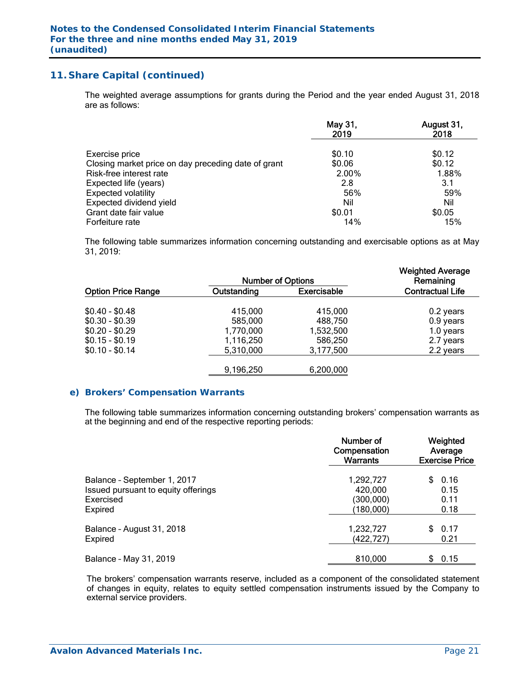The weighted average assumptions for grants during the Period and the year ended August 31, 2018 are as follows:

|                                                     | May 31,<br>2019 | August 31,<br>2018 |
|-----------------------------------------------------|-----------------|--------------------|
| Exercise price                                      | \$0.10          | \$0.12             |
| Closing market price on day preceding date of grant | \$0.06          | \$0.12             |
| Risk-free interest rate                             | 2.00%           | 1.88%              |
| Expected life (years)                               | 2.8             | 3.1                |
| <b>Expected volatility</b>                          | 56%             | 59%                |
| Expected dividend yield                             | Nil             | Nil                |
| Grant date fair value                               | \$0.01          | \$0.05             |
| Forfeiture rate                                     | 14%             | 15%                |

The following table summarizes information concerning outstanding and exercisable options as at May 31, 2019:

|                           | <b>Number of Options</b> |                    | <b>Weighted Average</b><br>Remaining |
|---------------------------|--------------------------|--------------------|--------------------------------------|
| <b>Option Price Range</b> | Outstanding              | <b>Exercisable</b> | <b>Contractual Life</b>              |
| $$0.40 - $0.48$           | 415,000                  | 415,000            | 0.2 years                            |
| $$0.30 - $0.39$           | 585,000                  | 488,750            | 0.9 years                            |
| $$0.20 - $0.29$           | 1,770,000                | 1,532,500          | 1.0 years                            |
| $$0.15 - $0.19$           | 1,116,250                | 586,250            | 2.7 years                            |
| $$0.10 - $0.14$           | 5,310,000                | 3,177,500          | 2.2 years                            |
|                           | 9,196,250                | 6,200,000          |                                      |

### *e) Brokers' Compensation Warrants*

The following table summarizes information concerning outstanding brokers' compensation warrants as at the beginning and end of the respective reporting periods:

|                                     | Number of<br>Compensation<br>Warrants | Weighted<br>Average<br><b>Exercise Price</b> |
|-------------------------------------|---------------------------------------|----------------------------------------------|
| Balance - September 1, 2017         | 1,292,727                             | 0.16                                         |
| Issued pursuant to equity offerings | 420,000                               | 0.15                                         |
| Exercised                           | (300,000)                             | 0.11                                         |
| <b>Expired</b>                      | (180,000)                             | 0.18                                         |
| Balance - August 31, 2018           | 1,232,727                             | 0.17                                         |
| <b>Expired</b>                      | (422,727)                             | 0.21                                         |
| Balance - May 31, 2019              | 810,000                               | 0.15<br>S.                                   |

The brokers' compensation warrants reserve, included as a component of the consolidated statement of changes in equity, relates to equity settled compensation instruments issued by the Company to external service providers.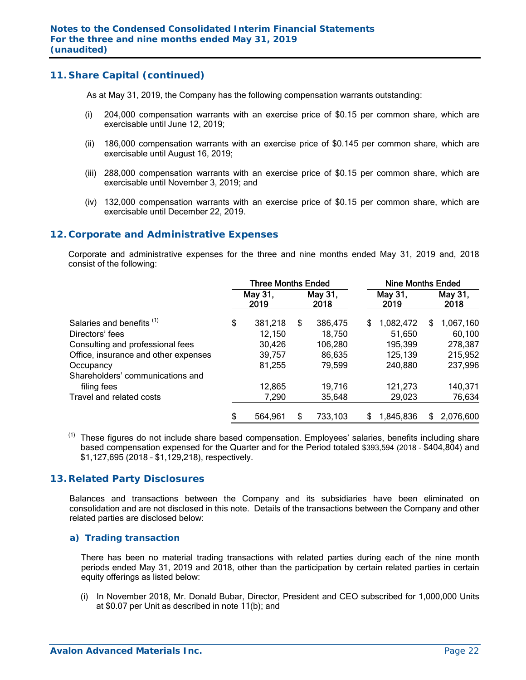As at May 31, 2019, the Company has the following compensation warrants outstanding:

- (i) 204,000 compensation warrants with an exercise price of \$0.15 per common share, which are exercisable until June 12, 2019;
- (ii) 186,000 compensation warrants with an exercise price of \$0.145 per common share, which are exercisable until August 16, 2019;
- (iii) 288,000 compensation warrants with an exercise price of \$0.15 per common share, which are exercisable until November 3, 2019; and
- (iv) 132,000 compensation warrants with an exercise price of \$0.15 per common share, which are exercisable until December 22, 2019.

### **12. Corporate and Administrative Expenses**

 Corporate and administrative expenses for the three and nine months ended May 31, 2019 and, 2018 consist of the following:

|                                      | <b>Three Months Ended</b> |                 |    |                 | <b>Nine Months Ended</b> |           |   |                 |  |  |
|--------------------------------------|---------------------------|-----------------|----|-----------------|--------------------------|-----------|---|-----------------|--|--|
|                                      |                           | May 31,<br>2019 |    | May 31,<br>2018 | May 31,<br>2019          |           |   | May 31,<br>2018 |  |  |
| Salaries and benefits <sup>(1)</sup> | \$                        | 381,218         | \$ | 386,475         | S                        | 1,082,472 | S | 1,067,160       |  |  |
| Directors' fees                      |                           | 12,150          |    | 18,750          |                          | 51,650    |   | 60,100          |  |  |
| Consulting and professional fees     |                           | 30,426          |    | 106,280         |                          | 195,399   |   | 278,387         |  |  |
| Office, insurance and other expenses |                           | 39,757          |    | 86,635          |                          | 125,139   |   | 215,952         |  |  |
| Occupancy                            |                           | 81,255          |    | 79,599          |                          | 240,880   |   | 237,996         |  |  |
| Shareholders' communications and     |                           |                 |    |                 |                          |           |   |                 |  |  |
| filing fees                          |                           | 12,865          |    | 19,716          |                          | 121,273   |   | 140,371         |  |  |
| Travel and related costs             |                           | 7,290           |    | 35,648          |                          | 29,023    |   | 76,634          |  |  |
|                                      | \$                        | 564,961         | S  | 733,103         | \$                       | 1,845,836 | S | 2,076,600       |  |  |

<sup>(1)</sup> These figures do not include share based compensation. Employees' salaries, benefits including share based compensation expensed for the Quarter and for the Period totaled \$393,594 (2018 – \$404,804) and \$1,127,695 (2018 – \$1,129,218), respectively.

### **13. Related Party Disclosures**

Balances and transactions between the Company and its subsidiaries have been eliminated on consolidation and are not disclosed in this note. Details of the transactions between the Company and other related parties are disclosed below:

### *a) Trading transaction*

There has been no material trading transactions with related parties during each of the nine month periods ended May 31, 2019 and 2018, other than the participation by certain related parties in certain equity offerings as listed below:

(i) In November 2018, Mr. Donald Bubar, Director, President and CEO subscribed for 1,000,000 Units at \$0.07 per Unit as described in note 11(b); and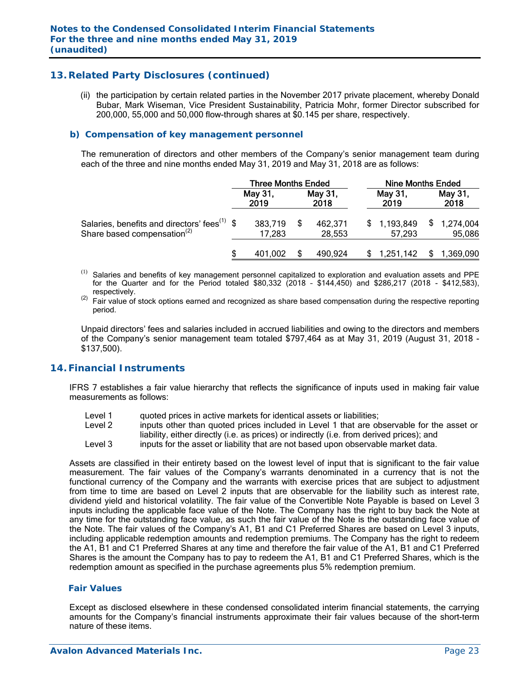# **13. Related Party Disclosures (continued)**

(ii) the participation by certain related parties in the November 2017 private placement, whereby Donald Bubar, Mark Wiseman, Vice President Sustainability, Patricia Mohr, former Director subscribed for 200,000, 55,000 and 50,000 flow-through shares at \$0.145 per share, respectively.

### *b) Compensation of key management personnel*

The remuneration of directors and other members of the Company's senior management team during each of the three and nine months ended May 31, 2019 and May 31, 2018 are as follows:

|                                                                                                     | <b>Three Months Ended</b> |  |                   | <b>Nine Months Ended</b> |                       |  |
|-----------------------------------------------------------------------------------------------------|---------------------------|--|-------------------|--------------------------|-----------------------|--|
|                                                                                                     | May 31,<br>2019           |  | May 31,<br>2018   | May 31,<br>2019          | May 31,<br>2018       |  |
| Salaries, benefits and directors' fees <sup>(1)</sup> \$<br>Share based compensation <sup>(2)</sup> | 383,719<br>17,283         |  | 462,371<br>28,553 | \$1,193,849<br>57.293    | \$1,274,004<br>95,086 |  |
|                                                                                                     | 401.002                   |  | 490,924           | 1,251,142                | 1,369,090             |  |

- $(1)$ Salaries and benefits of key management personnel capitalized to exploration and evaluation assets and PPE for the Quarter and for the Period totaled \$80,332 (2018 – \$144,450) and \$286,217 (2018 - \$412,583),
- respectively.<br><sup>(2)</sup> Fair value of stock options earned and recognized as share based compensation during the respective reporting period.

Unpaid directors' fees and salaries included in accrued liabilities and owing to the directors and members of the Company's senior management team totaled \$797,464 as at May 31, 2019 (August 31, 2018 - \$137,500).

### **14. Financial Instruments**

IFRS 7 establishes a fair value hierarchy that reflects the significance of inputs used in making fair value measurements as follows:

- Level 1 duoted prices in active markets for identical assets or liabilities;<br>Level 2 linputs other than quoted prices included in Level 1 that are ob
- inputs other than quoted prices included in Level 1 that are observable for the asset or liability, either directly (i.e. as prices) or indirectly (i.e. from derived prices); and
- Level 3 inputs for the asset or liability that are not based upon observable market data.

Assets are classified in their entirety based on the lowest level of input that is significant to the fair value measurement. The fair values of the Company's warrants denominated in a currency that is not the functional currency of the Company and the warrants with exercise prices that are subject to adjustment from time to time are based on Level 2 inputs that are observable for the liability such as interest rate, dividend yield and historical volatility. The fair value of the Convertible Note Payable is based on Level 3 inputs including the applicable face value of the Note. The Company has the right to buy back the Note at any time for the outstanding face value, as such the fair value of the Note is the outstanding face value of the Note. The fair values of the Company's A1, B1 and C1 Preferred Shares are based on Level 3 inputs, including applicable redemption amounts and redemption premiums. The Company has the right to redeem the A1, B1 and C1 Preferred Shares at any time and therefore the fair value of the A1, B1 and C1 Preferred Shares is the amount the Company has to pay to redeem the A1, B1 and C1 Preferred Shares, which is the redemption amount as specified in the purchase agreements plus 5% redemption premium.

### *Fair Values*

Except as disclosed elsewhere in these condensed consolidated interim financial statements, the carrying amounts for the Company's financial instruments approximate their fair values because of the short-term nature of these items.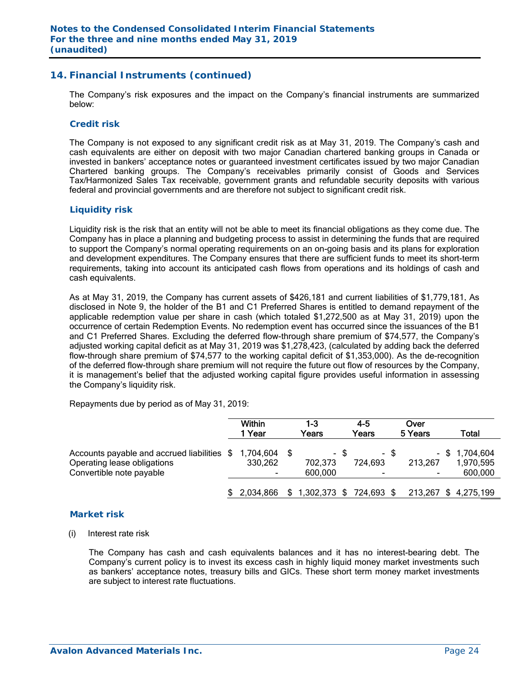### **14. Financial Instruments (continued)**

The Company's risk exposures and the impact on the Company's financial instruments are summarized below:

#### *Credit risk*

The Company is not exposed to any significant credit risk as at May 31, 2019. The Company's cash and cash equivalents are either on deposit with two major Canadian chartered banking groups in Canada or invested in bankers' acceptance notes or guaranteed investment certificates issued by two major Canadian Chartered banking groups. The Company's receivables primarily consist of Goods and Services Tax/Harmonized Sales Tax receivable, government grants and refundable security deposits with various federal and provincial governments and are therefore not subject to significant credit risk.

### *Liquidity risk*

Liquidity risk is the risk that an entity will not be able to meet its financial obligations as they come due. The Company has in place a planning and budgeting process to assist in determining the funds that are required to support the Company's normal operating requirements on an on-going basis and its plans for exploration and development expenditures. The Company ensures that there are sufficient funds to meet its short-term requirements, taking into account its anticipated cash flows from operations and its holdings of cash and cash equivalents.

As at May 31, 2019, the Company has current assets of \$426,181 and current liabilities of \$1,779,181. As disclosed in Note 9, the holder of the B1 and C1 Preferred Shares is entitled to demand repayment of the applicable redemption value per share in cash (which totaled \$1,272,500 as at May 31, 2019) upon the occurrence of certain Redemption Events. No redemption event has occurred since the issuances of the B1 and C1 Preferred Shares. Excluding the deferred flow-through share premium of \$74,577, the Company's adjusted working capital deficit as at May 31, 2019 was \$1,278,423, (calculated by adding back the deferred flow-through share premium of \$74,577 to the working capital deficit of \$1,353,000). As the de-recognition of the deferred flow-through share premium will not require the future out flow of resources by the Company, it is management's belief that the adjusted working capital figure provides useful information in assessing the Company's liquidity risk.

Repayments due by period as of May 31, 2019:

|                                                                                                                     | <b>Within</b><br>1 Year | 1-3<br>Years            |      | 4-5<br>Years                        |      | Over<br>5 Years | Total                                    |
|---------------------------------------------------------------------------------------------------------------------|-------------------------|-------------------------|------|-------------------------------------|------|-----------------|------------------------------------------|
| Accounts payable and accrued liabilities \$ 1,704,604 \$<br>Operating lease obligations<br>Convertible note payable | 330,262                 | 702,373<br>600.000      | - \$ | 724,693<br>$\overline{\phantom{0}}$ | - \$ | 213,267         | $-$ \$ 1,704,604<br>1,970,595<br>600,000 |
|                                                                                                                     | 2,034,866               | 1,302,373 \$ 724,693 \$ |      |                                     |      |                 | 213,267 \$4,275,199                      |

### *Market risk*

(i) Interest rate risk

 The Company has cash and cash equivalents balances and it has no interest-bearing debt. The Company's current policy is to invest its excess cash in highly liquid money market investments such as bankers' acceptance notes, treasury bills and GICs. These short term money market investments are subject to interest rate fluctuations.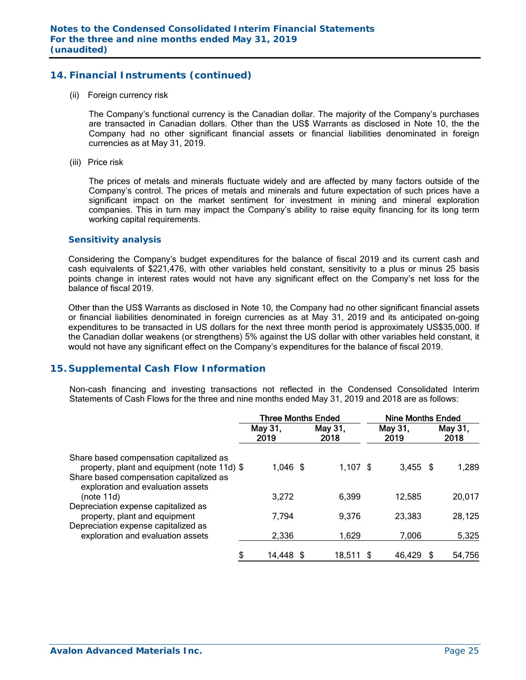# **14. Financial Instruments (continued)**

(ii) Foreign currency risk

 The Company's functional currency is the Canadian dollar. The majority of the Company's purchases are transacted in Canadian dollars. Other than the US\$ Warrants as disclosed in Note 10, the the Company had no other significant financial assets or financial liabilities denominated in foreign currencies as at May 31, 2019.

(iii) Price risk

 The prices of metals and minerals fluctuate widely and are affected by many factors outside of the Company's control. The prices of metals and minerals and future expectation of such prices have a significant impact on the market sentiment for investment in mining and mineral exploration companies. This in turn may impact the Company's ability to raise equity financing for its long term working capital requirements.

### *Sensitivity analysis*

 Considering the Company's budget expenditures for the balance of fiscal 2019 and its current cash and cash equivalents of \$221,476, with other variables held constant, sensitivity to a plus or minus 25 basis points change in interest rates would not have any significant effect on the Company's net loss for the balance of fiscal 2019.

Other than the US\$ Warrants as disclosed in Note 10, the Company had no other significant financial assets or financial liabilities denominated in foreign currencies as at May 31, 2019 and its anticipated on-going expenditures to be transacted in US dollars for the next three month period is approximately US\$35,000. If the Canadian dollar weakens (or strengthens) 5% against the US dollar with other variables held constant, it would not have any significant effect on the Company's expenditures for the balance of fiscal 2019.

### **15. Supplemental Cash Flow Information**

Non-cash financing and investing transactions not reflected in the Condensed Consolidated Interim Statements of Cash Flows for the three and nine months ended May 31, 2019 and 2018 are as follows:

|                                                                                            | <b>Three Months Ended</b> |                 |            | <b>Nine Months Ended</b> |  |                 |
|--------------------------------------------------------------------------------------------|---------------------------|-----------------|------------|--------------------------|--|-----------------|
|                                                                                            | May 31,<br>2019           | May 31,<br>2018 |            | May 31,<br>2019          |  | May 31,<br>2018 |
| Share based compensation capitalized as<br>property, plant and equipment (note 11d) \$     | $1,046$ \$                |                 | $1,107$ \$ | $3,455$ \$               |  | 1,289           |
| Share based compensation capitalized as<br>exploration and evaluation assets<br>(note 11d) | 3,272                     |                 | 6,399      | 12,585                   |  | 20,017          |
| Depreciation expense capitalized as<br>property, plant and equipment                       | 7,794                     |                 | 9,376      | 23,383                   |  | 28,125          |
| Depreciation expense capitalized as<br>exploration and evaluation assets                   | 2,336                     |                 | 1,629      | 7,006                    |  | 5,325           |
| \$                                                                                         | 14,448 \$                 |                 | 18,511 \$  | 46,429                   |  | 54,756          |